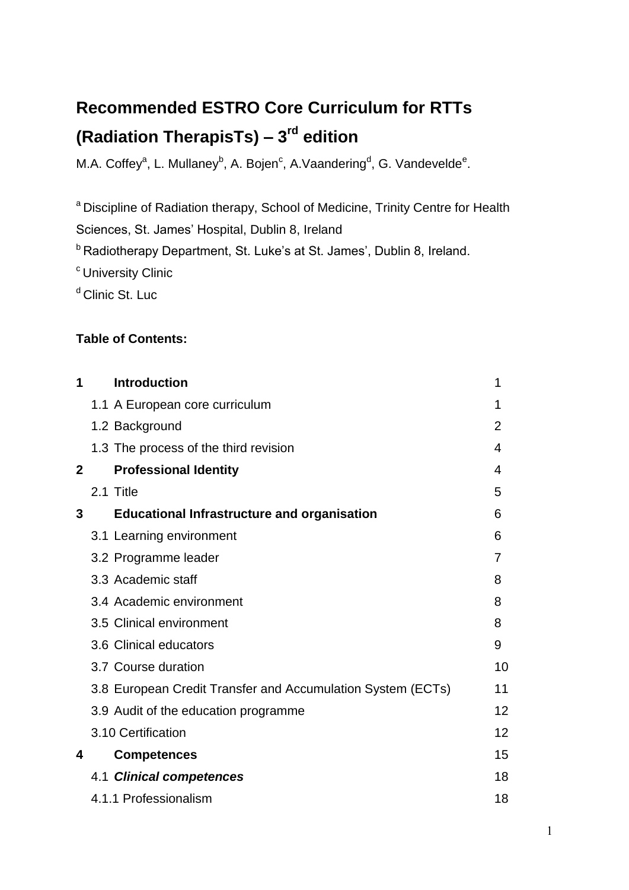# **Recommended ESTRO Core Curriculum for RTTs (Radiation TherapisTs) – 3 rd edition**

M.A. Coffey<sup>a</sup>, L. Mullaney<sup>b</sup>, A. Bojen<sup>c</sup>, A. Vaandering<sup>d</sup>, G. Vandevelde<sup>e</sup>.

<sup>a</sup> Discipline of Radiation therapy, School of Medicine, Trinity Centre for Health Sciences, St. James' Hospital, Dublin 8, Ireland

<sup>b</sup> Radiotherapy Department, St. Luke's at St. James', Dublin 8, Ireland.

- <sup>c</sup> University Clinic
- <sup>d</sup> Clinic St. Luc

#### **Table of Contents:**

| 1            | <b>Introduction</b>                                         | 1              |
|--------------|-------------------------------------------------------------|----------------|
|              | 1.1 A European core curriculum                              | 1              |
|              | 1.2 Background                                              | $\overline{2}$ |
|              | 1.3 The process of the third revision                       | 4              |
| $\mathbf{2}$ | <b>Professional Identity</b>                                | 4              |
|              | 2.1 Title                                                   | 5              |
| 3            | <b>Educational Infrastructure and organisation</b>          | 6              |
|              | 3.1 Learning environment                                    | 6              |
|              | 3.2 Programme leader                                        | 7              |
|              | 3.3 Academic staff                                          | 8              |
|              | 3.4 Academic environment                                    | 8              |
|              | 3.5 Clinical environment                                    | 8              |
|              | 3.6 Clinical educators                                      | 9              |
|              | 3.7 Course duration                                         | 10             |
|              | 3.8 European Credit Transfer and Accumulation System (ECTs) | 11             |
|              | 3.9 Audit of the education programme                        | 12             |
|              | 3.10 Certification                                          | 12             |
| 4            | <b>Competences</b>                                          | 15             |
|              | 4.1 Clinical competences                                    | 18             |
|              | 4.1.1 Professionalism                                       | 18             |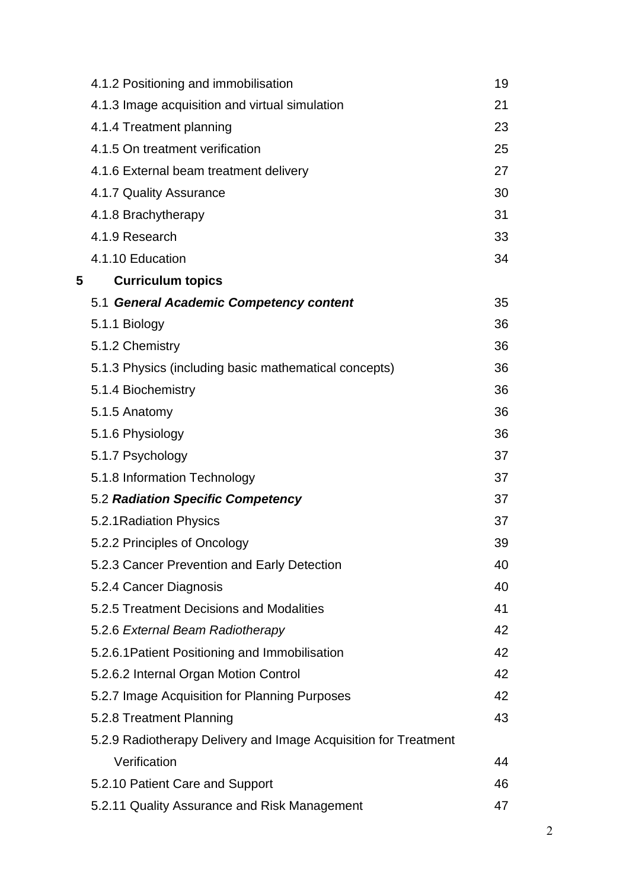|   | 4.1.2 Positioning and immobilisation                            | 19 |
|---|-----------------------------------------------------------------|----|
|   | 4.1.3 Image acquisition and virtual simulation                  | 21 |
|   | 4.1.4 Treatment planning                                        | 23 |
|   | 4.1.5 On treatment verification                                 | 25 |
|   | 4.1.6 External beam treatment delivery                          | 27 |
|   | 4.1.7 Quality Assurance                                         | 30 |
|   | 4.1.8 Brachytherapy                                             | 31 |
|   | 4.1.9 Research                                                  | 33 |
|   | 4.1.10 Education                                                | 34 |
| 5 | <b>Curriculum topics</b>                                        |    |
|   | 5.1 General Academic Competency content                         | 35 |
|   | 5.1.1 Biology                                                   | 36 |
|   | 5.1.2 Chemistry                                                 | 36 |
|   | 5.1.3 Physics (including basic mathematical concepts)           | 36 |
|   | 5.1.4 Biochemistry                                              | 36 |
|   | 5.1.5 Anatomy                                                   | 36 |
|   | 5.1.6 Physiology                                                | 36 |
|   | 5.1.7 Psychology                                                | 37 |
|   | 5.1.8 Information Technology                                    | 37 |
|   | 5.2 Radiation Specific Competency                               | 37 |
|   | 5.2.1 Radiation Physics                                         | 37 |
|   | 5.2.2 Principles of Oncology                                    | 39 |
|   | 5.2.3 Cancer Prevention and Early Detection                     | 40 |
|   | 5.2.4 Cancer Diagnosis                                          | 40 |
|   | 5.2.5 Treatment Decisions and Modalities                        | 41 |
|   | 5.2.6 External Beam Radiotherapy                                | 42 |
|   | 5.2.6.1 Patient Positioning and Immobilisation                  | 42 |
|   | 5.2.6.2 Internal Organ Motion Control                           | 42 |
|   | 5.2.7 Image Acquisition for Planning Purposes                   | 42 |
|   | 5.2.8 Treatment Planning                                        | 43 |
|   | 5.2.9 Radiotherapy Delivery and Image Acquisition for Treatment |    |
|   | Verification                                                    | 44 |
|   | 5.2.10 Patient Care and Support                                 | 46 |
|   | 5.2.11 Quality Assurance and Risk Management                    | 47 |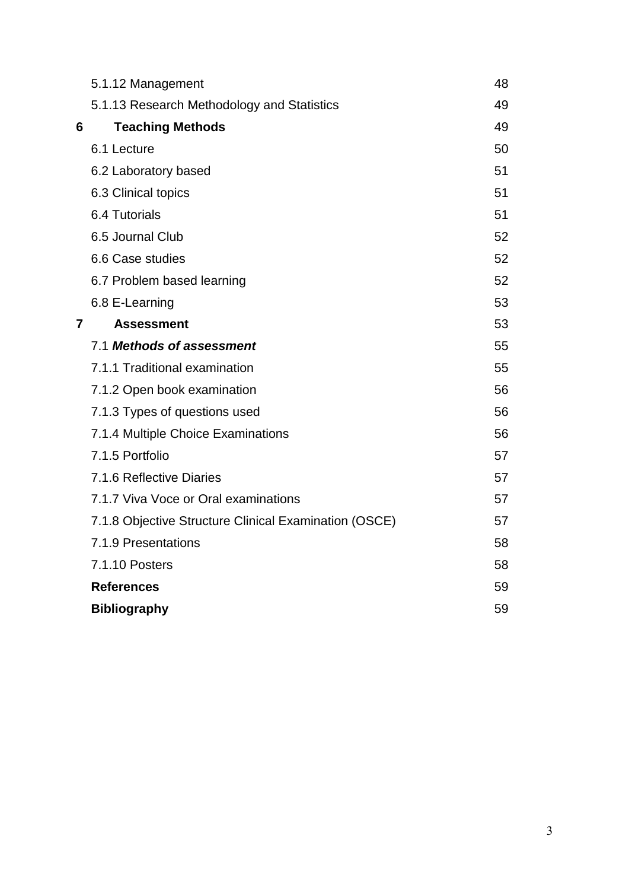|   | 5.1.12 Management                                     | 48 |
|---|-------------------------------------------------------|----|
|   | 5.1.13 Research Methodology and Statistics            | 49 |
| 6 | <b>Teaching Methods</b>                               | 49 |
|   | 6.1 Lecture                                           | 50 |
|   | 6.2 Laboratory based                                  | 51 |
|   | 6.3 Clinical topics                                   | 51 |
|   | 6.4 Tutorials                                         | 51 |
|   | 6.5 Journal Club                                      | 52 |
|   | 6.6 Case studies                                      | 52 |
|   | 6.7 Problem based learning                            | 52 |
|   | 6.8 E-Learning                                        | 53 |
| 7 | <b>Assessment</b>                                     | 53 |
|   | 7.1 Methods of assessment                             | 55 |
|   | 7.1.1 Traditional examination                         | 55 |
|   | 7.1.2 Open book examination                           | 56 |
|   | 7.1.3 Types of questions used                         | 56 |
|   | 7.1.4 Multiple Choice Examinations                    | 56 |
|   | 7.1.5 Portfolio                                       | 57 |
|   | 7.1.6 Reflective Diaries                              | 57 |
|   | 7.1.7 Viva Voce or Oral examinations                  | 57 |
|   | 7.1.8 Objective Structure Clinical Examination (OSCE) | 57 |
|   | 7.1.9 Presentations                                   | 58 |
|   | 7.1.10 Posters                                        | 58 |
|   | <b>References</b>                                     | 59 |
|   | <b>Bibliography</b>                                   | 59 |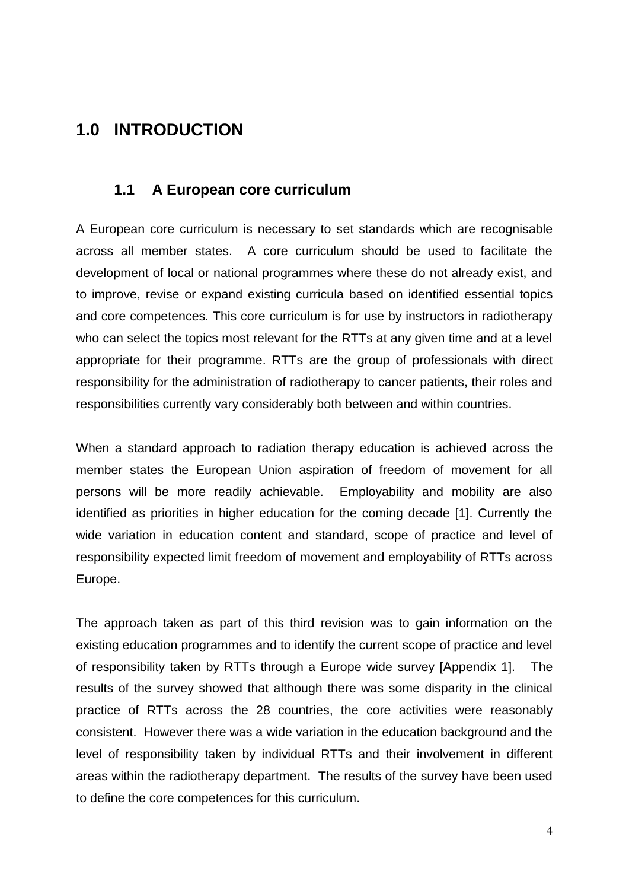# **1.0 INTRODUCTION**

## **1.1 A European core curriculum**

A European core curriculum is necessary to set standards which are recognisable across all member states. A core curriculum should be used to facilitate the development of local or national programmes where these do not already exist, and to improve, revise or expand existing curricula based on identified essential topics and core competences. This core curriculum is for use by instructors in radiotherapy who can select the topics most relevant for the RTTs at any given time and at a level appropriate for their programme. RTTs are the group of professionals with direct responsibility for the administration of radiotherapy to cancer patients, their roles and responsibilities currently vary considerably both between and within countries.

When a standard approach to radiation therapy education is achieved across the member states the European Union aspiration of freedom of movement for all persons will be more readily achievable. Employability and mobility are also identified as priorities in higher education for the coming decade [1]. Currently the wide variation in education content and standard, scope of practice and level of responsibility expected limit freedom of movement and employability of RTTs across Europe.

The approach taken as part of this third revision was to gain information on the existing education programmes and to identify the current scope of practice and level of responsibility taken by RTTs through a Europe wide survey [Appendix 1]. The results of the survey showed that although there was some disparity in the clinical practice of RTTs across the 28 countries, the core activities were reasonably consistent. However there was a wide variation in the education background and the level of responsibility taken by individual RTTs and their involvement in different areas within the radiotherapy department. The results of the survey have been used to define the core competences for this curriculum.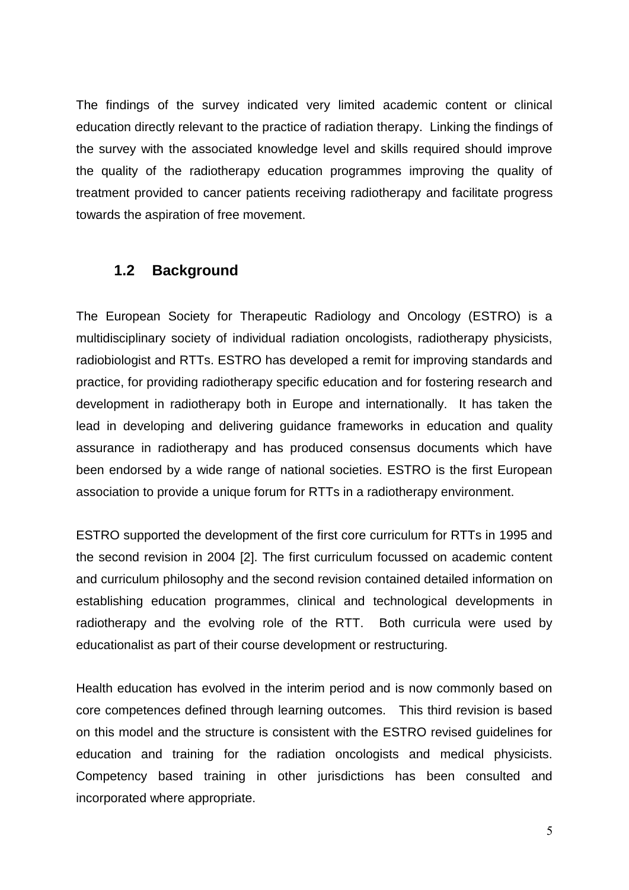The findings of the survey indicated very limited academic content or clinical education directly relevant to the practice of radiation therapy. Linking the findings of the survey with the associated knowledge level and skills required should improve the quality of the radiotherapy education programmes improving the quality of treatment provided to cancer patients receiving radiotherapy and facilitate progress towards the aspiration of free movement.

#### **1.2 Background**

The European Society for Therapeutic Radiology and Oncology (ESTRO) is a multidisciplinary society of individual radiation oncologists, radiotherapy physicists, radiobiologist and RTTs. ESTRO has developed a remit for improving standards and practice, for providing radiotherapy specific education and for fostering research and development in radiotherapy both in Europe and internationally. It has taken the lead in developing and delivering guidance frameworks in education and quality assurance in radiotherapy and has produced consensus documents which have been endorsed by a wide range of national societies. ESTRO is the first European association to provide a unique forum for RTTs in a radiotherapy environment.

ESTRO supported the development of the first core curriculum for RTTs in 1995 and the second revision in 2004 [2]. The first curriculum focussed on academic content and curriculum philosophy and the second revision contained detailed information on establishing education programmes, clinical and technological developments in radiotherapy and the evolving role of the RTT. Both curricula were used by educationalist as part of their course development or restructuring.

Health education has evolved in the interim period and is now commonly based on core competences defined through learning outcomes. This third revision is based on this model and the structure is consistent with the ESTRO revised guidelines for education and training for the radiation oncologists and medical physicists. Competency based training in other jurisdictions has been consulted and incorporated where appropriate.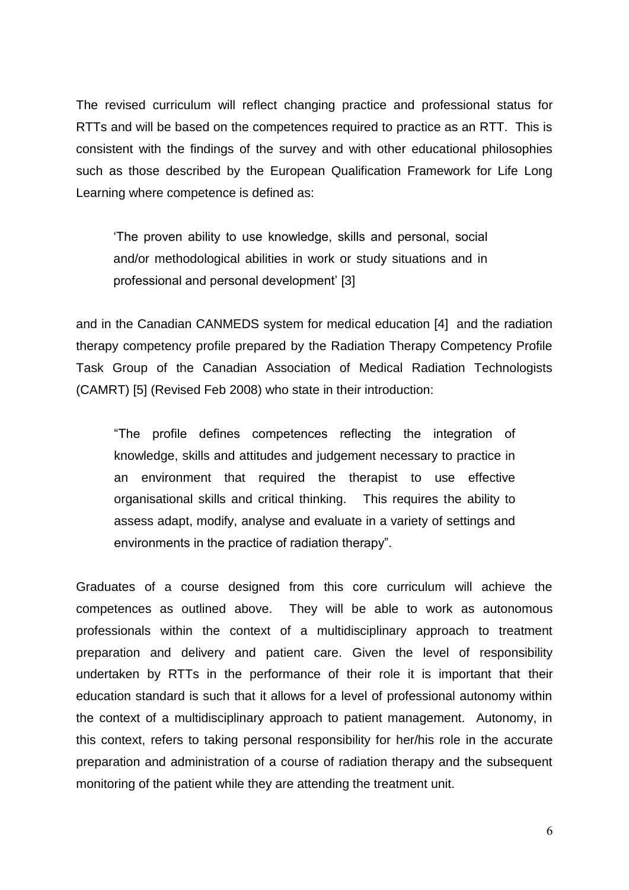The revised curriculum will reflect changing practice and professional status for RTTs and will be based on the competences required to practice as an RTT. This is consistent with the findings of the survey and with other educational philosophies such as those described by the European Qualification Framework for Life Long Learning where competence is defined as:

'The proven ability to use knowledge, skills and personal, social and/or methodological abilities in work or study situations and in professional and personal development' [3]

and in the Canadian CANMEDS system for medical education [4] and the radiation therapy competency profile prepared by the Radiation Therapy Competency Profile Task Group of the Canadian Association of Medical Radiation Technologists (CAMRT) [5] (Revised Feb 2008) who state in their introduction:

"The profile defines competences reflecting the integration of knowledge, skills and attitudes and judgement necessary to practice in an environment that required the therapist to use effective organisational skills and critical thinking. This requires the ability to assess adapt, modify, analyse and evaluate in a variety of settings and environments in the practice of radiation therapy".

Graduates of a course designed from this core curriculum will achieve the competences as outlined above. They will be able to work as autonomous professionals within the context of a multidisciplinary approach to treatment preparation and delivery and patient care. Given the level of responsibility undertaken by RTTs in the performance of their role it is important that their education standard is such that it allows for a level of professional autonomy within the context of a multidisciplinary approach to patient management. Autonomy, in this context, refers to taking personal responsibility for her/his role in the accurate preparation and administration of a course of radiation therapy and the subsequent monitoring of the patient while they are attending the treatment unit.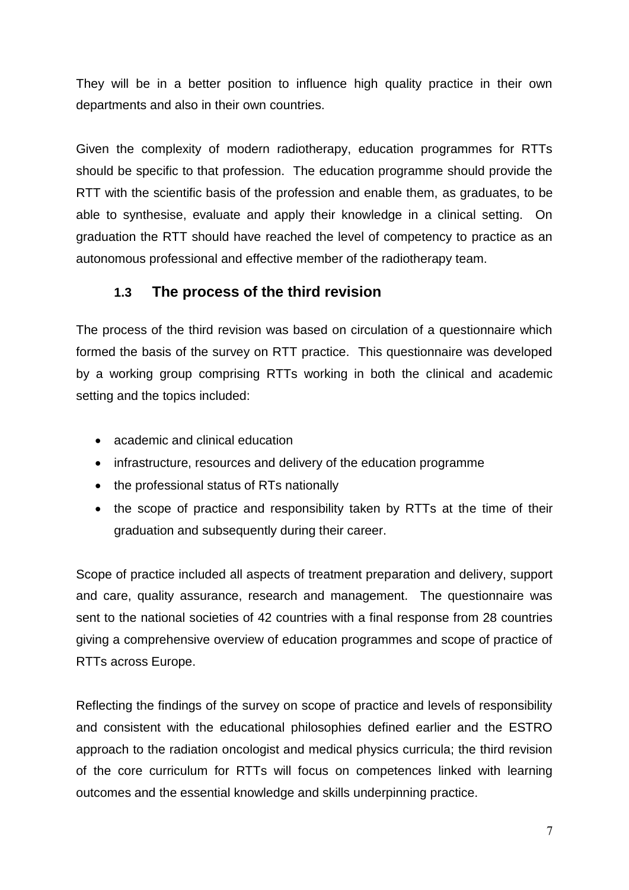They will be in a better position to influence high quality practice in their own departments and also in their own countries.

Given the complexity of modern radiotherapy, education programmes for RTTs should be specific to that profession. The education programme should provide the RTT with the scientific basis of the profession and enable them, as graduates, to be able to synthesise, evaluate and apply their knowledge in a clinical setting. On graduation the RTT should have reached the level of competency to practice as an autonomous professional and effective member of the radiotherapy team.

## **1.3 The process of the third revision**

The process of the third revision was based on circulation of a questionnaire which formed the basis of the survey on RTT practice. This questionnaire was developed by a working group comprising RTTs working in both the clinical and academic setting and the topics included:

- academic and clinical education
- infrastructure, resources and delivery of the education programme
- the professional status of RTs nationally
- the scope of practice and responsibility taken by RTTs at the time of their graduation and subsequently during their career.

Scope of practice included all aspects of treatment preparation and delivery, support and care, quality assurance, research and management. The questionnaire was sent to the national societies of 42 countries with a final response from 28 countries giving a comprehensive overview of education programmes and scope of practice of RTTs across Europe.

Reflecting the findings of the survey on scope of practice and levels of responsibility and consistent with the educational philosophies defined earlier and the ESTRO approach to the radiation oncologist and medical physics curricula; the third revision of the core curriculum for RTTs will focus on competences linked with learning outcomes and the essential knowledge and skills underpinning practice.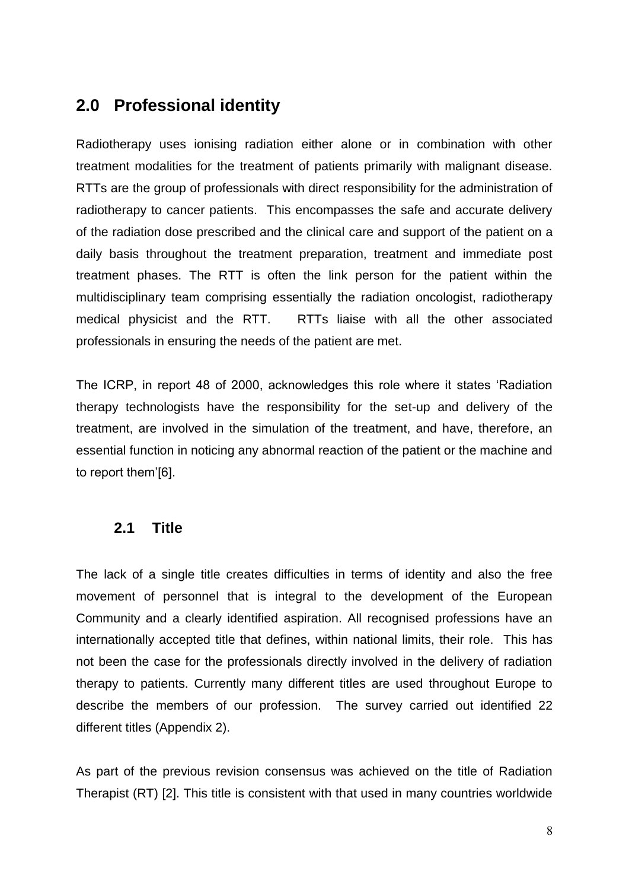# **2.0 Professional identity**

Radiotherapy uses ionising radiation either alone or in combination with other treatment modalities for the treatment of patients primarily with malignant disease. RTTs are the group of professionals with direct responsibility for the administration of radiotherapy to cancer patients. This encompasses the safe and accurate delivery of the radiation dose prescribed and the clinical care and support of the patient on a daily basis throughout the treatment preparation, treatment and immediate post treatment phases. The RTT is often the link person for the patient within the multidisciplinary team comprising essentially the radiation oncologist, radiotherapy medical physicist and the RTT. RTTs liaise with all the other associated professionals in ensuring the needs of the patient are met.

The ICRP, in report 48 of 2000, acknowledges this role where it states 'Radiation therapy technologists have the responsibility for the set-up and delivery of the treatment, are involved in the simulation of the treatment, and have, therefore, an essential function in noticing any abnormal reaction of the patient or the machine and to report them'[6].

## **2.1 Title**

The lack of a single title creates difficulties in terms of identity and also the free movement of personnel that is integral to the development of the European Community and a clearly identified aspiration. All recognised professions have an internationally accepted title that defines, within national limits, their role. This has not been the case for the professionals directly involved in the delivery of radiation therapy to patients. Currently many different titles are used throughout Europe to describe the members of our profession. The survey carried out identified 22 different titles (Appendix 2).

As part of the previous revision consensus was achieved on the title of Radiation Therapist (RT) [2]. This title is consistent with that used in many countries worldwide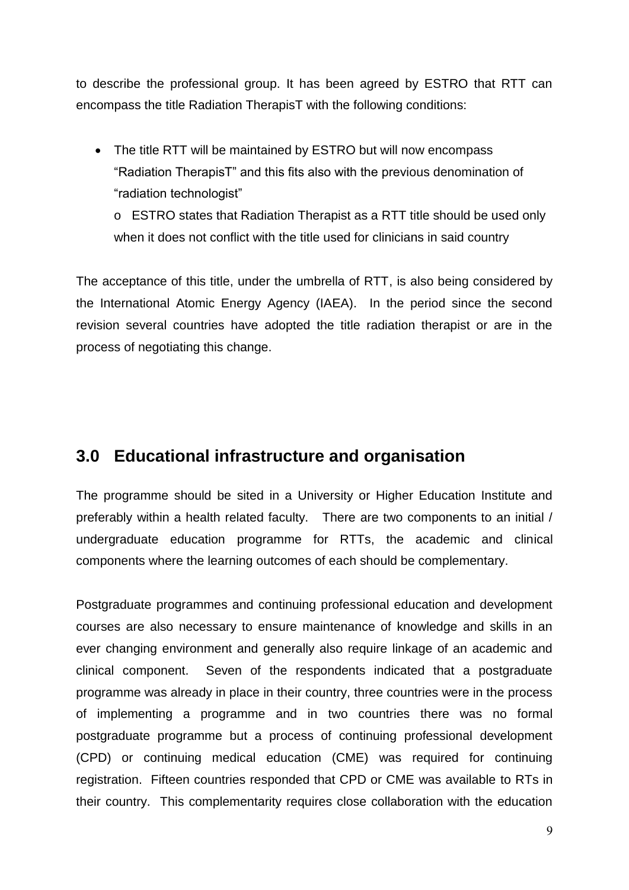to describe the professional group. It has been agreed by ESTRO that RTT can encompass the title Radiation TherapisT with the following conditions:

• The title RTT will be maintained by ESTRO but will now encompass "Radiation TherapisT" and this fits also with the previous denomination of "radiation technologist"

o ESTRO states that Radiation Therapist as a RTT title should be used only when it does not conflict with the title used for clinicians in said country

The acceptance of this title, under the umbrella of RTT, is also being considered by the International Atomic Energy Agency (IAEA). In the period since the second revision several countries have adopted the title radiation therapist or are in the process of negotiating this change.

## **3.0 Educational infrastructure and organisation**

The programme should be sited in a University or Higher Education Institute and preferably within a health related faculty. There are two components to an initial / undergraduate education programme for RTTs, the academic and clinical components where the learning outcomes of each should be complementary.

Postgraduate programmes and continuing professional education and development courses are also necessary to ensure maintenance of knowledge and skills in an ever changing environment and generally also require linkage of an academic and clinical component. Seven of the respondents indicated that a postgraduate programme was already in place in their country, three countries were in the process of implementing a programme and in two countries there was no formal postgraduate programme but a process of continuing professional development (CPD) or continuing medical education (CME) was required for continuing registration. Fifteen countries responded that CPD or CME was available to RTs in their country. This complementarity requires close collaboration with the education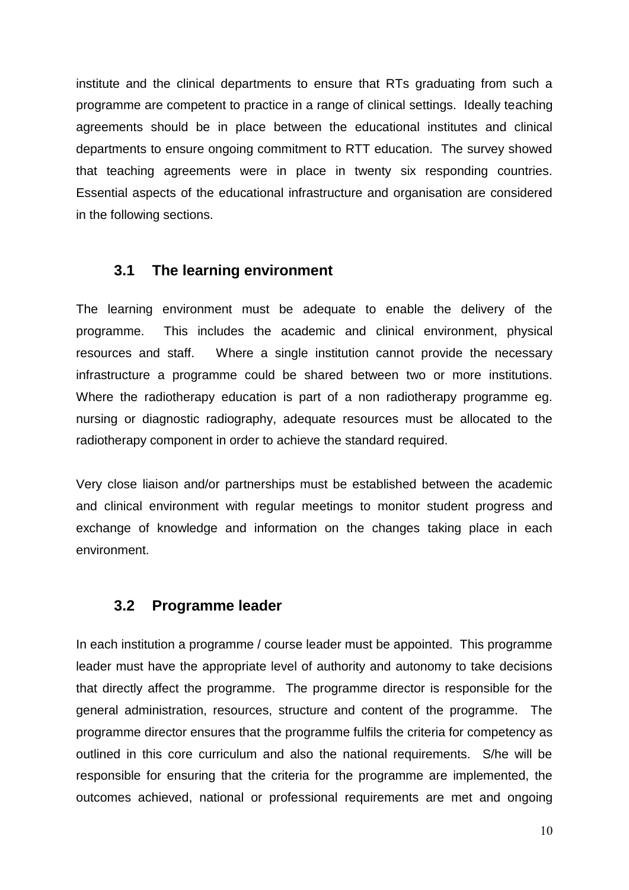institute and the clinical departments to ensure that RTs graduating from such a programme are competent to practice in a range of clinical settings. Ideally teaching agreements should be in place between the educational institutes and clinical departments to ensure ongoing commitment to RTT education. The survey showed that teaching agreements were in place in twenty six responding countries. Essential aspects of the educational infrastructure and organisation are considered in the following sections.

## **3.1 The learning environment**

The learning environment must be adequate to enable the delivery of the programme. This includes the academic and clinical environment, physical resources and staff. Where a single institution cannot provide the necessary infrastructure a programme could be shared between two or more institutions. Where the radiotherapy education is part of a non radiotherapy programme eg. nursing or diagnostic radiography, adequate resources must be allocated to the radiotherapy component in order to achieve the standard required.

Very close liaison and/or partnerships must be established between the academic and clinical environment with regular meetings to monitor student progress and exchange of knowledge and information on the changes taking place in each environment.

## **3.2 Programme leader**

In each institution a programme / course leader must be appointed. This programme leader must have the appropriate level of authority and autonomy to take decisions that directly affect the programme. The programme director is responsible for the general administration, resources, structure and content of the programme. The programme director ensures that the programme fulfils the criteria for competency as outlined in this core curriculum and also the national requirements. S/he will be responsible for ensuring that the criteria for the programme are implemented, the outcomes achieved, national or professional requirements are met and ongoing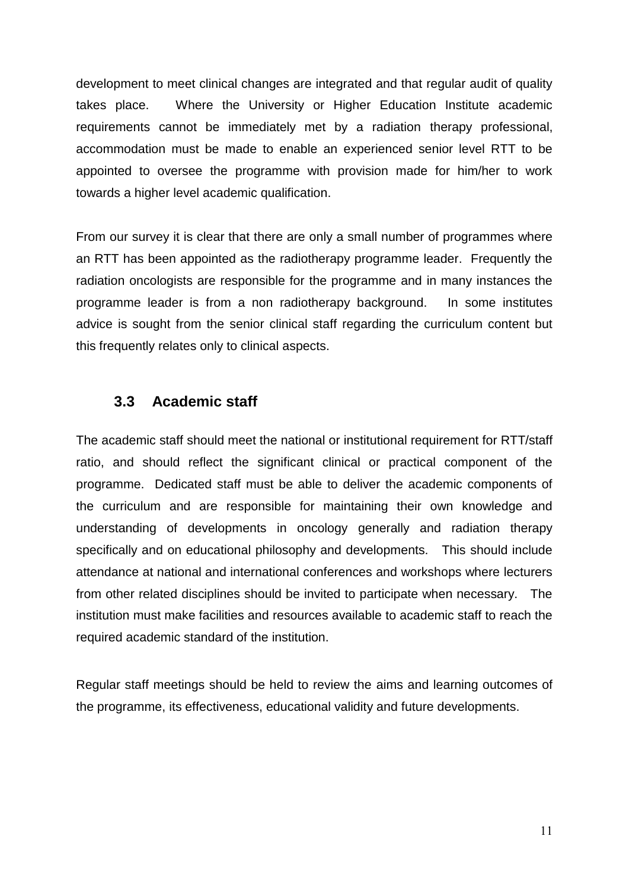development to meet clinical changes are integrated and that regular audit of quality takes place. Where the University or Higher Education Institute academic requirements cannot be immediately met by a radiation therapy professional, accommodation must be made to enable an experienced senior level RTT to be appointed to oversee the programme with provision made for him/her to work towards a higher level academic qualification.

From our survey it is clear that there are only a small number of programmes where an RTT has been appointed as the radiotherapy programme leader. Frequently the radiation oncologists are responsible for the programme and in many instances the programme leader is from a non radiotherapy background. In some institutes advice is sought from the senior clinical staff regarding the curriculum content but this frequently relates only to clinical aspects.

#### **3.3 Academic staff**

The academic staff should meet the national or institutional requirement for RTT/staff ratio, and should reflect the significant clinical or practical component of the programme. Dedicated staff must be able to deliver the academic components of the curriculum and are responsible for maintaining their own knowledge and understanding of developments in oncology generally and radiation therapy specifically and on educational philosophy and developments. This should include attendance at national and international conferences and workshops where lecturers from other related disciplines should be invited to participate when necessary. The institution must make facilities and resources available to academic staff to reach the required academic standard of the institution.

Regular staff meetings should be held to review the aims and learning outcomes of the programme, its effectiveness, educational validity and future developments.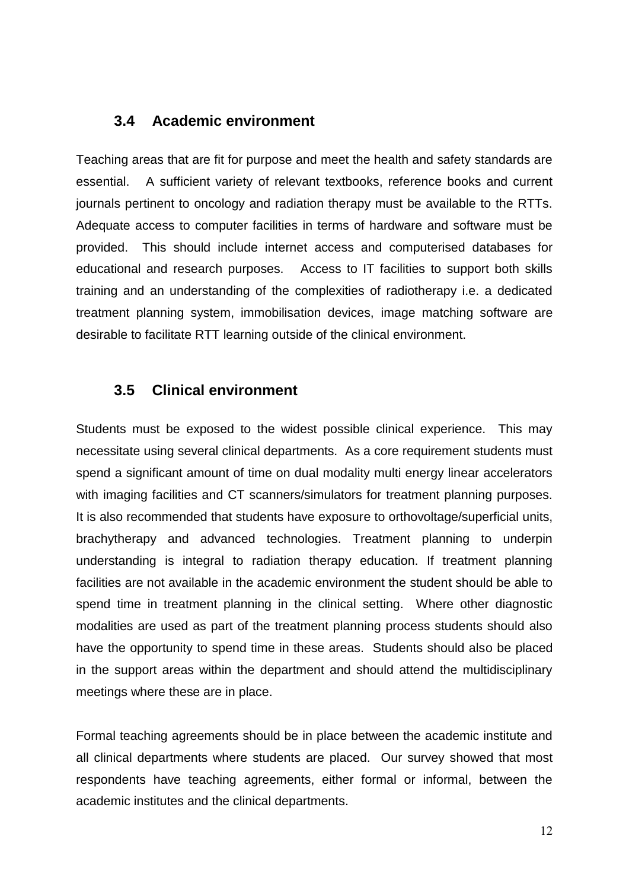## **3.4 Academic environment**

Teaching areas that are fit for purpose and meet the health and safety standards are essential. A sufficient variety of relevant textbooks, reference books and current journals pertinent to oncology and radiation therapy must be available to the RTTs. Adequate access to computer facilities in terms of hardware and software must be provided. This should include internet access and computerised databases for educational and research purposes. Access to IT facilities to support both skills training and an understanding of the complexities of radiotherapy i.e. a dedicated treatment planning system, immobilisation devices, image matching software are desirable to facilitate RTT learning outside of the clinical environment.

#### **3.5 Clinical environment**

Students must be exposed to the widest possible clinical experience. This may necessitate using several clinical departments. As a core requirement students must spend a significant amount of time on dual modality multi energy linear accelerators with imaging facilities and CT scanners/simulators for treatment planning purposes. It is also recommended that students have exposure to orthovoltage/superficial units, brachytherapy and advanced technologies. Treatment planning to underpin understanding is integral to radiation therapy education. If treatment planning facilities are not available in the academic environment the student should be able to spend time in treatment planning in the clinical setting. Where other diagnostic modalities are used as part of the treatment planning process students should also have the opportunity to spend time in these areas. Students should also be placed in the support areas within the department and should attend the multidisciplinary meetings where these are in place.

Formal teaching agreements should be in place between the academic institute and all clinical departments where students are placed. Our survey showed that most respondents have teaching agreements, either formal or informal, between the academic institutes and the clinical departments.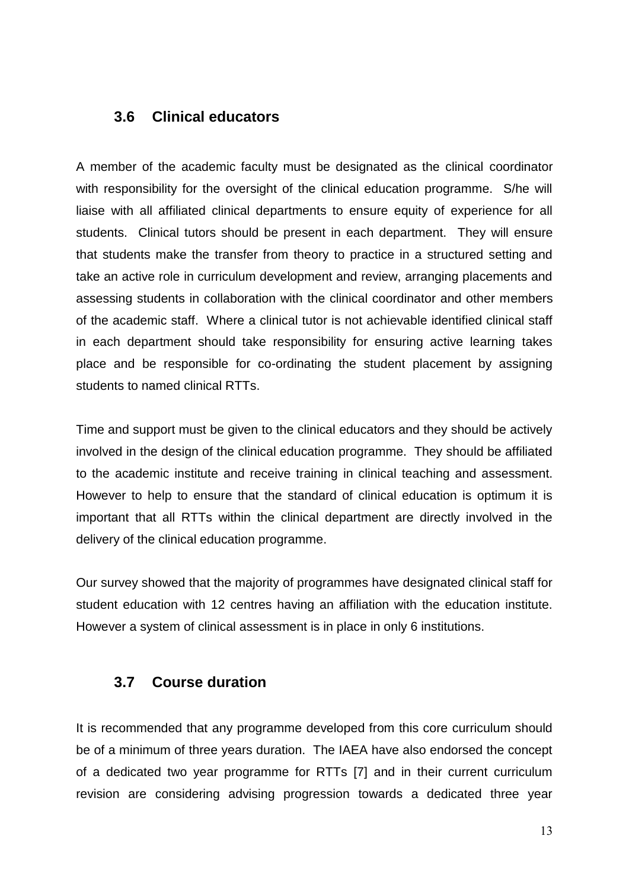## **3.6 Clinical educators**

A member of the academic faculty must be designated as the clinical coordinator with responsibility for the oversight of the clinical education programme. S/he will liaise with all affiliated clinical departments to ensure equity of experience for all students. Clinical tutors should be present in each department. They will ensure that students make the transfer from theory to practice in a structured setting and take an active role in curriculum development and review, arranging placements and assessing students in collaboration with the clinical coordinator and other members of the academic staff. Where a clinical tutor is not achievable identified clinical staff in each department should take responsibility for ensuring active learning takes place and be responsible for co-ordinating the student placement by assigning students to named clinical RTTs.

Time and support must be given to the clinical educators and they should be actively involved in the design of the clinical education programme. They should be affiliated to the academic institute and receive training in clinical teaching and assessment. However to help to ensure that the standard of clinical education is optimum it is important that all RTTs within the clinical department are directly involved in the delivery of the clinical education programme.

Our survey showed that the majority of programmes have designated clinical staff for student education with 12 centres having an affiliation with the education institute. However a system of clinical assessment is in place in only 6 institutions.

### **3.7 Course duration**

It is recommended that any programme developed from this core curriculum should be of a minimum of three years duration. The IAEA have also endorsed the concept of a dedicated two year programme for RTTs [7] and in their current curriculum revision are considering advising progression towards a dedicated three year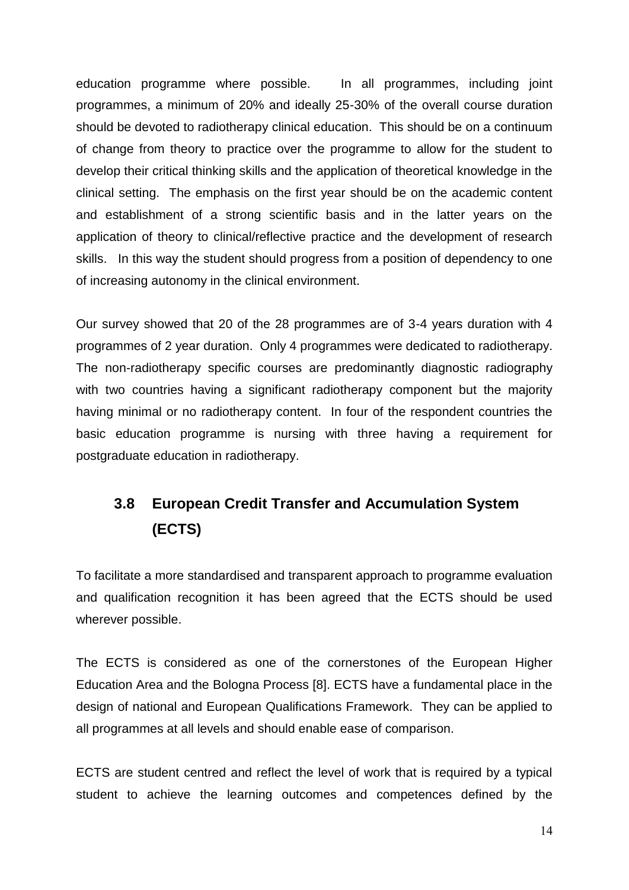education programme where possible. In all programmes, including joint programmes, a minimum of 20% and ideally 25-30% of the overall course duration should be devoted to radiotherapy clinical education. This should be on a continuum of change from theory to practice over the programme to allow for the student to develop their critical thinking skills and the application of theoretical knowledge in the clinical setting. The emphasis on the first year should be on the academic content and establishment of a strong scientific basis and in the latter years on the application of theory to clinical/reflective practice and the development of research skills. In this way the student should progress from a position of dependency to one of increasing autonomy in the clinical environment.

Our survey showed that 20 of the 28 programmes are of 3-4 years duration with 4 programmes of 2 year duration. Only 4 programmes were dedicated to radiotherapy. The non-radiotherapy specific courses are predominantly diagnostic radiography with two countries having a significant radiotherapy component but the majority having minimal or no radiotherapy content. In four of the respondent countries the basic education programme is nursing with three having a requirement for postgraduate education in radiotherapy.

# **3.8 European Credit Transfer and Accumulation System (ECTS)**

To facilitate a more standardised and transparent approach to programme evaluation and qualification recognition it has been agreed that the ECTS should be used wherever possible.

The ECTS is considered as one of the cornerstones of the European Higher Education Area and the Bologna Process [8]. ECTS have a fundamental place in the design of national and European Qualifications Framework. They can be applied to all programmes at all levels and should enable ease of comparison.

ECTS are student centred and reflect the level of work that is required by a typical student to achieve the learning outcomes and competences defined by the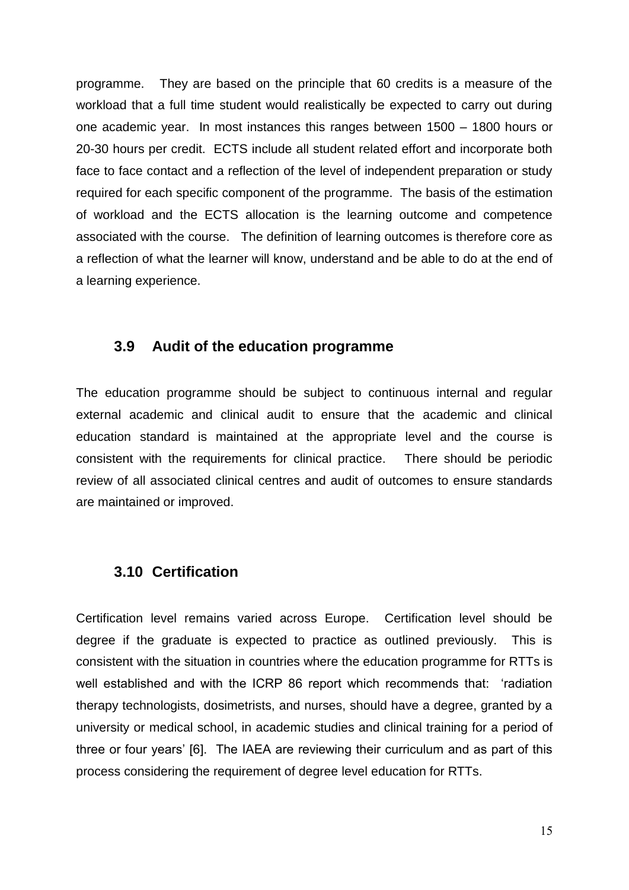programme. They are based on the principle that 60 credits is a measure of the workload that a full time student would realistically be expected to carry out during one academic year. In most instances this ranges between 1500 – 1800 hours or 20-30 hours per credit. ECTS include all student related effort and incorporate both face to face contact and a reflection of the level of independent preparation or study required for each specific component of the programme. The basis of the estimation of workload and the ECTS allocation is the learning outcome and competence associated with the course. The definition of learning outcomes is therefore core as a reflection of what the learner will know, understand and be able to do at the end of a learning experience.

#### **3.9 Audit of the education programme**

The education programme should be subject to continuous internal and regular external academic and clinical audit to ensure that the academic and clinical education standard is maintained at the appropriate level and the course is consistent with the requirements for clinical practice. There should be periodic review of all associated clinical centres and audit of outcomes to ensure standards are maintained or improved.

#### **3.10 Certification**

Certification level remains varied across Europe. Certification level should be degree if the graduate is expected to practice as outlined previously. This is consistent with the situation in countries where the education programme for RTTs is well established and with the ICRP 86 report which recommends that: 'radiation therapy technologists, dosimetrists, and nurses, should have a degree, granted by a university or medical school, in academic studies and clinical training for a period of three or four years' [6]. The IAEA are reviewing their curriculum and as part of this process considering the requirement of degree level education for RTTs.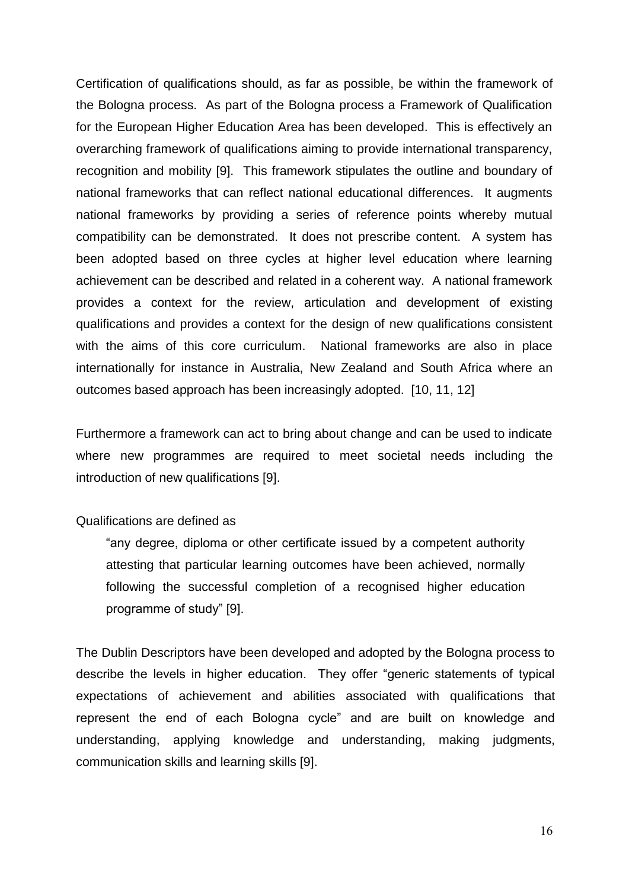Certification of qualifications should, as far as possible, be within the framework of the Bologna process. As part of the Bologna process a Framework of Qualification for the European Higher Education Area has been developed. This is effectively an overarching framework of qualifications aiming to provide international transparency, recognition and mobility [9]. This framework stipulates the outline and boundary of national frameworks that can reflect national educational differences. It augments national frameworks by providing a series of reference points whereby mutual compatibility can be demonstrated. It does not prescribe content. A system has been adopted based on three cycles at higher level education where learning achievement can be described and related in a coherent way. A national framework provides a context for the review, articulation and development of existing qualifications and provides a context for the design of new qualifications consistent with the aims of this core curriculum. National frameworks are also in place internationally for instance in Australia, New Zealand and South Africa where an outcomes based approach has been increasingly adopted. [10, 11, 12]

Furthermore a framework can act to bring about change and can be used to indicate where new programmes are required to meet societal needs including the introduction of new qualifications [9].

#### Qualifications are defined as

"any degree, diploma or other certificate issued by a competent authority attesting that particular learning outcomes have been achieved, normally following the successful completion of a recognised higher education programme of study" [9].

The Dublin Descriptors have been developed and adopted by the Bologna process to describe the levels in higher education. They offer "generic statements of typical expectations of achievement and abilities associated with qualifications that represent the end of each Bologna cycle" and are built on knowledge and understanding, applying knowledge and understanding, making judgments, communication skills and learning skills [9].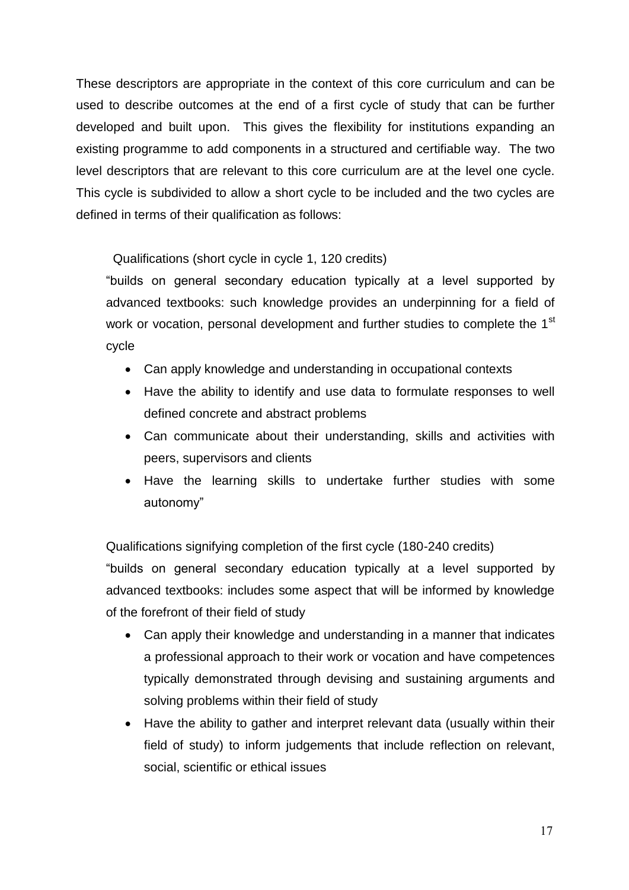These descriptors are appropriate in the context of this core curriculum and can be used to describe outcomes at the end of a first cycle of study that can be further developed and built upon. This gives the flexibility for institutions expanding an existing programme to add components in a structured and certifiable way. The two level descriptors that are relevant to this core curriculum are at the level one cycle. This cycle is subdivided to allow a short cycle to be included and the two cycles are defined in terms of their qualification as follows:

Qualifications (short cycle in cycle 1, 120 credits)

"builds on general secondary education typically at a level supported by advanced textbooks: such knowledge provides an underpinning for a field of work or vocation, personal development and further studies to complete the 1<sup>st</sup> cycle

- Can apply knowledge and understanding in occupational contexts
- Have the ability to identify and use data to formulate responses to well defined concrete and abstract problems
- Can communicate about their understanding, skills and activities with peers, supervisors and clients
- Have the learning skills to undertake further studies with some autonomy"

Qualifications signifying completion of the first cycle (180-240 credits)

"builds on general secondary education typically at a level supported by advanced textbooks: includes some aspect that will be informed by knowledge of the forefront of their field of study

- Can apply their knowledge and understanding in a manner that indicates a professional approach to their work or vocation and have competences typically demonstrated through devising and sustaining arguments and solving problems within their field of study
- Have the ability to gather and interpret relevant data (usually within their field of study) to inform judgements that include reflection on relevant, social, scientific or ethical issues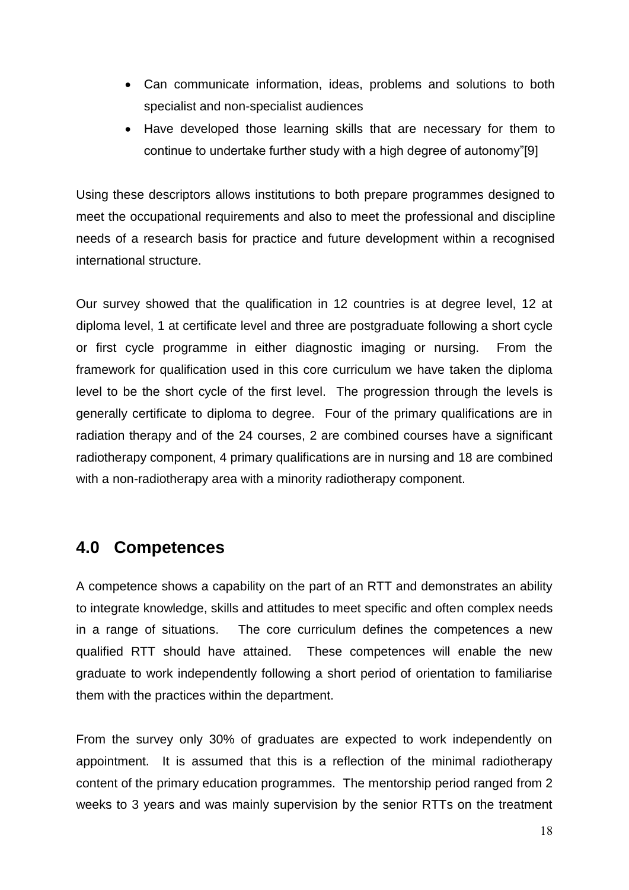- Can communicate information, ideas, problems and solutions to both specialist and non-specialist audiences
- Have developed those learning skills that are necessary for them to continue to undertake further study with a high degree of autonomy"[9]

Using these descriptors allows institutions to both prepare programmes designed to meet the occupational requirements and also to meet the professional and discipline needs of a research basis for practice and future development within a recognised international structure.

Our survey showed that the qualification in 12 countries is at degree level, 12 at diploma level, 1 at certificate level and three are postgraduate following a short cycle or first cycle programme in either diagnostic imaging or nursing. From the framework for qualification used in this core curriculum we have taken the diploma level to be the short cycle of the first level. The progression through the levels is generally certificate to diploma to degree. Four of the primary qualifications are in radiation therapy and of the 24 courses, 2 are combined courses have a significant radiotherapy component, 4 primary qualifications are in nursing and 18 are combined with a non-radiotherapy area with a minority radiotherapy component.

## **4.0 Competences**

A competence shows a capability on the part of an RTT and demonstrates an ability to integrate knowledge, skills and attitudes to meet specific and often complex needs in a range of situations. The core curriculum defines the competences a new qualified RTT should have attained. These competences will enable the new graduate to work independently following a short period of orientation to familiarise them with the practices within the department.

From the survey only 30% of graduates are expected to work independently on appointment. It is assumed that this is a reflection of the minimal radiotherapy content of the primary education programmes. The mentorship period ranged from 2 weeks to 3 years and was mainly supervision by the senior RTTs on the treatment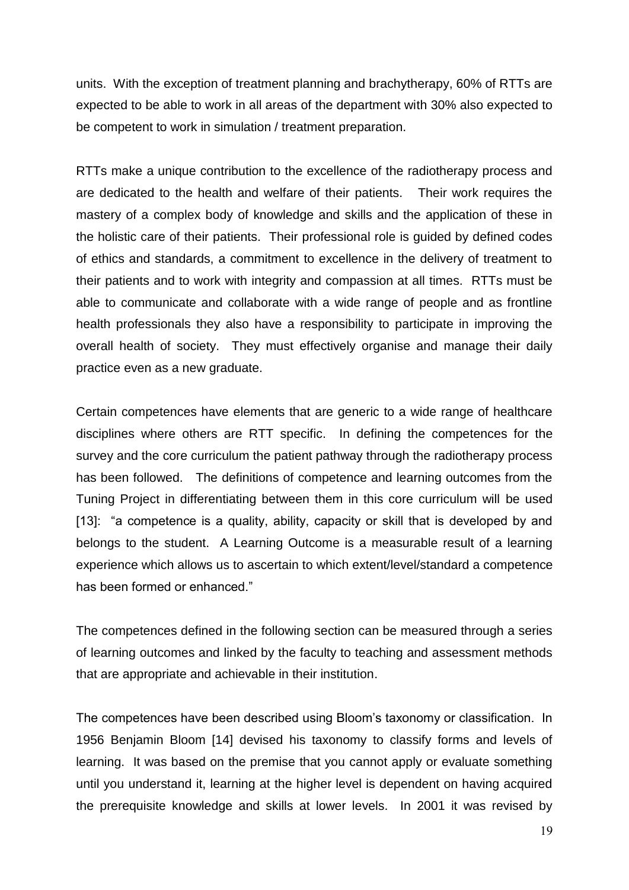units. With the exception of treatment planning and brachytherapy, 60% of RTTs are expected to be able to work in all areas of the department with 30% also expected to be competent to work in simulation / treatment preparation.

RTTs make a unique contribution to the excellence of the radiotherapy process and are dedicated to the health and welfare of their patients. Their work requires the mastery of a complex body of knowledge and skills and the application of these in the holistic care of their patients. Their professional role is guided by defined codes of ethics and standards, a commitment to excellence in the delivery of treatment to their patients and to work with integrity and compassion at all times. RTTs must be able to communicate and collaborate with a wide range of people and as frontline health professionals they also have a responsibility to participate in improving the overall health of society. They must effectively organise and manage their daily practice even as a new graduate.

Certain competences have elements that are generic to a wide range of healthcare disciplines where others are RTT specific. In defining the competences for the survey and the core curriculum the patient pathway through the radiotherapy process has been followed. The definitions of competence and learning outcomes from the Tuning Project in differentiating between them in this core curriculum will be used [13]: "a competence is a quality, ability, capacity or skill that is developed by and belongs to the student. A Learning Outcome is a measurable result of a learning experience which allows us to ascertain to which extent/level/standard a competence has been formed or enhanced."

The competences defined in the following section can be measured through a series of learning outcomes and linked by the faculty to teaching and assessment methods that are appropriate and achievable in their institution.

The competences have been described using Bloom's taxonomy or classification. In 1956 Benjamin Bloom [14] devised his taxonomy to classify forms and levels of learning. It was based on the premise that you cannot apply or evaluate something until you understand it, learning at the higher level is dependent on having acquired the prerequisite knowledge and skills at lower levels. In 2001 it was revised by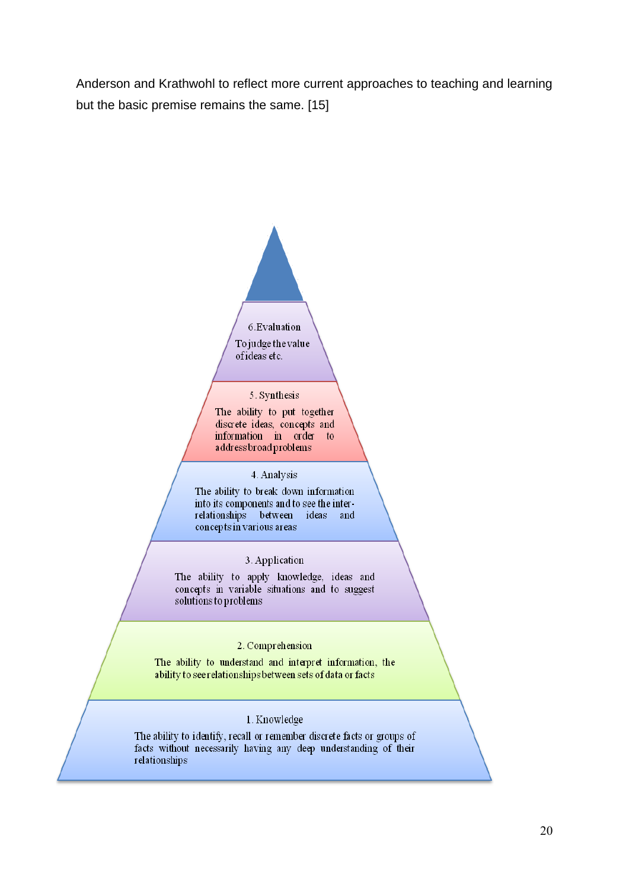Anderson and Krathwohl to reflect more current approaches to teaching and learning but the basic premise remains the same. [15]



#### 5. Synthesis

The ability to put together discrete ideas, concepts and information in order to address broad problems

#### 4. Analysis

The ability to break down information into its components and to see the interrelationships between ideas and concepts in various areas

#### 3. Application

The ability to apply knowledge, ideas and concepts in variable situations and to suggest solutions to problems

#### 2. Comprehension

The ability to understand and interpret information, the ability to see relationships between sets of data or facts

#### 1. Knowledge

The ability to identify, recall or remember discrete facts or groups of facts without necessarily having any deep understanding of their relationships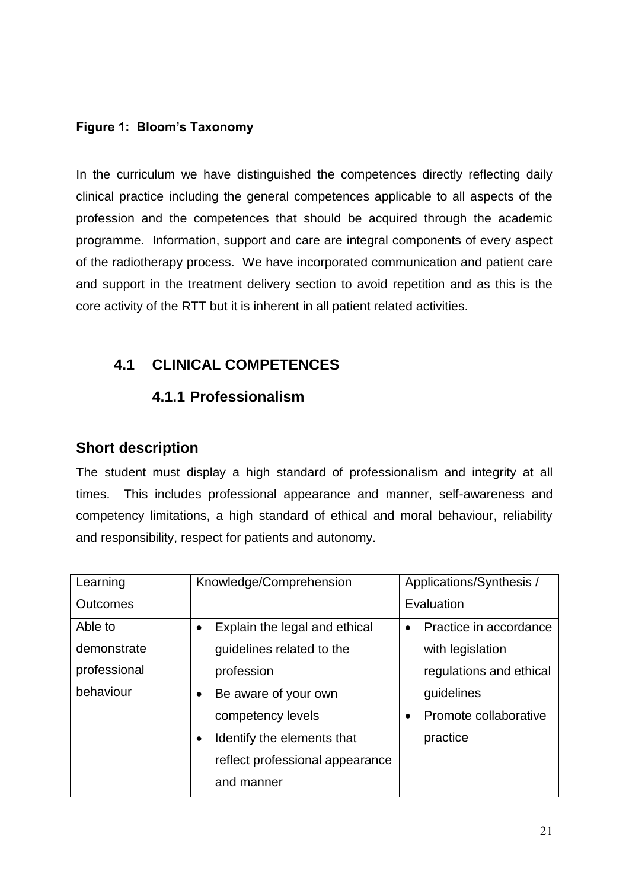### **Figure 1: Bloom's Taxonomy**

In the curriculum we have distinguished the competences directly reflecting daily clinical practice including the general competences applicable to all aspects of the profession and the competences that should be acquired through the academic programme. Information, support and care are integral components of every aspect of the radiotherapy process. We have incorporated communication and patient care and support in the treatment delivery section to avoid repetition and as this is the core activity of the RTT but it is inherent in all patient related activities.

# **4.1 CLINICAL COMPETENCES**

## **4.1.1 Professionalism**

## **Short description**

The student must display a high standard of professionalism and integrity at all times. This includes professional appearance and manner, self-awareness and competency limitations, a high standard of ethical and moral behaviour, reliability and responsibility, respect for patients and autonomy.

| Learning     | Knowledge/Comprehension                 | Applications/Synthesis /            |
|--------------|-----------------------------------------|-------------------------------------|
| Outcomes     |                                         | Evaluation                          |
| Able to      | Explain the legal and ethical           | Practice in accordance<br>$\bullet$ |
| demonstrate  | guidelines related to the               | with legislation                    |
| professional | profession                              | regulations and ethical             |
| behaviour    | Be aware of your own<br>$\bullet$       | guidelines                          |
|              | competency levels                       | Promote collaborative<br>$\bullet$  |
|              | Identify the elements that<br>$\bullet$ | practice                            |
|              | reflect professional appearance         |                                     |
|              | and manner                              |                                     |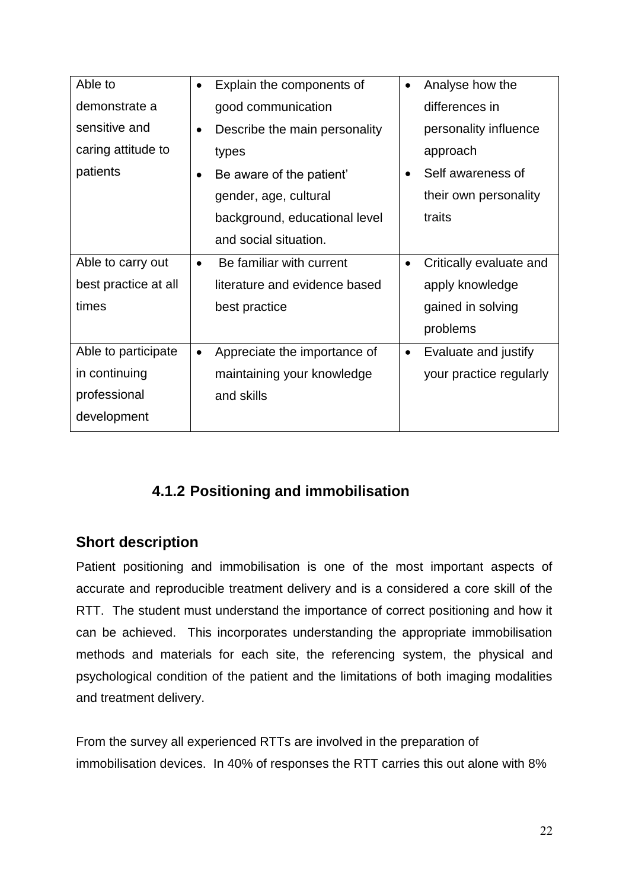| Able to              | Explain the components of                  | Analyse how the                      |
|----------------------|--------------------------------------------|--------------------------------------|
| demonstrate a        | good communication                         | differences in                       |
| sensitive and        | Describe the main personality<br>$\bullet$ | personality influence                |
| caring attitude to   | types                                      | approach                             |
| patients             | Be aware of the patient'                   | Self awareness of<br>٠               |
|                      | gender, age, cultural                      | their own personality                |
|                      | background, educational level              | traits                               |
|                      | and social situation.                      |                                      |
| Able to carry out    | Be familiar with current                   | Critically evaluate and<br>$\bullet$ |
| best practice at all | literature and evidence based              | apply knowledge                      |
| times                | best practice                              | gained in solving                    |
|                      |                                            | problems                             |
| Able to participate  | Appreciate the importance of               | Evaluate and justify<br>$\bullet$    |
| in continuing        | maintaining your knowledge                 | your practice regularly              |
| professional         | and skills                                 |                                      |
| development          |                                            |                                      |

# **4.1.2 Positioning and immobilisation**

# **Short description**

Patient positioning and immobilisation is one of the most important aspects of accurate and reproducible treatment delivery and is a considered a core skill of the RTT. The student must understand the importance of correct positioning and how it can be achieved. This incorporates understanding the appropriate immobilisation methods and materials for each site, the referencing system, the physical and psychological condition of the patient and the limitations of both imaging modalities and treatment delivery.

From the survey all experienced RTTs are involved in the preparation of immobilisation devices. In 40% of responses the RTT carries this out alone with 8%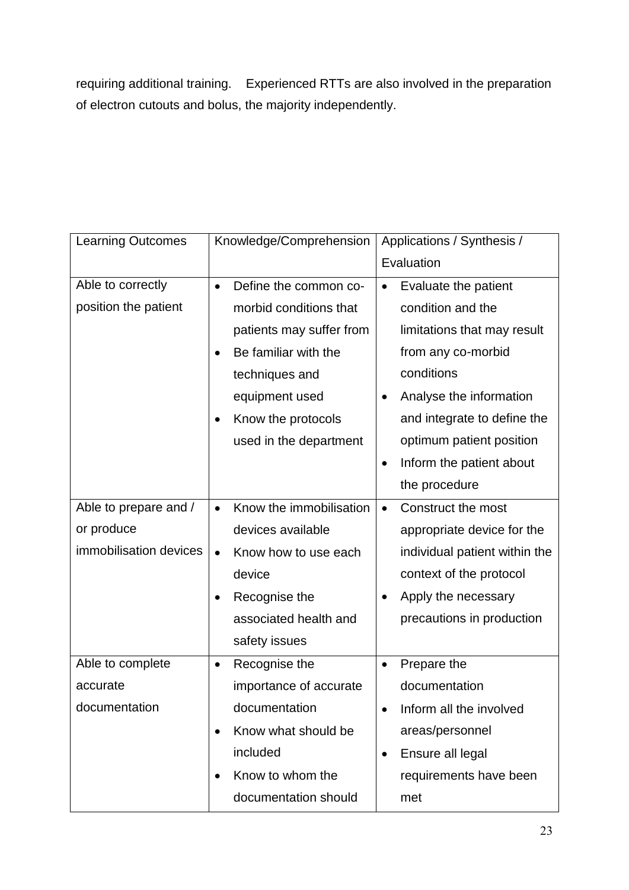requiring additional training. Experienced RTTs are also involved in the preparation of electron cutouts and bolus, the majority independently.

| <b>Learning Outcomes</b> | Knowledge/Comprehension              | Applications / Synthesis /            |  |
|--------------------------|--------------------------------------|---------------------------------------|--|
|                          |                                      | Evaluation                            |  |
| Able to correctly        | Define the common co-<br>$\bullet$   | Evaluate the patient<br>$\bullet$     |  |
| position the patient     | morbid conditions that               | condition and the                     |  |
|                          | patients may suffer from             | limitations that may result           |  |
|                          | Be familiar with the                 | from any co-morbid                    |  |
|                          | techniques and                       | conditions                            |  |
|                          | equipment used                       | Analyse the information               |  |
|                          | Know the protocols<br>$\bullet$      | and integrate to define the           |  |
|                          | used in the department               | optimum patient position              |  |
|                          |                                      | Inform the patient about<br>$\bullet$ |  |
|                          |                                      | the procedure                         |  |
| Able to prepare and /    | Know the immobilisation<br>$\bullet$ | Construct the most<br>$\bullet$       |  |
| or produce               | devices available                    | appropriate device for the            |  |
| immobilisation devices   | Know how to use each<br>$\bullet$    | individual patient within the         |  |
|                          | device                               | context of the protocol               |  |
|                          | Recognise the<br>$\bullet$           | Apply the necessary                   |  |
|                          | associated health and                | precautions in production             |  |
|                          | safety issues                        |                                       |  |
| Able to complete         | Recognise the<br>$\bullet$           | Prepare the<br>$\bullet$              |  |
| accurate                 | importance of accurate               | documentation                         |  |
| documentation            | documentation                        | Inform all the involved<br>$\bullet$  |  |
|                          | Know what should be<br>$\bullet$     | areas/personnel                       |  |
|                          | included                             | Ensure all legal<br>$\bullet$         |  |
|                          | Know to whom the<br>$\bullet$        | requirements have been                |  |
|                          | documentation should                 | met                                   |  |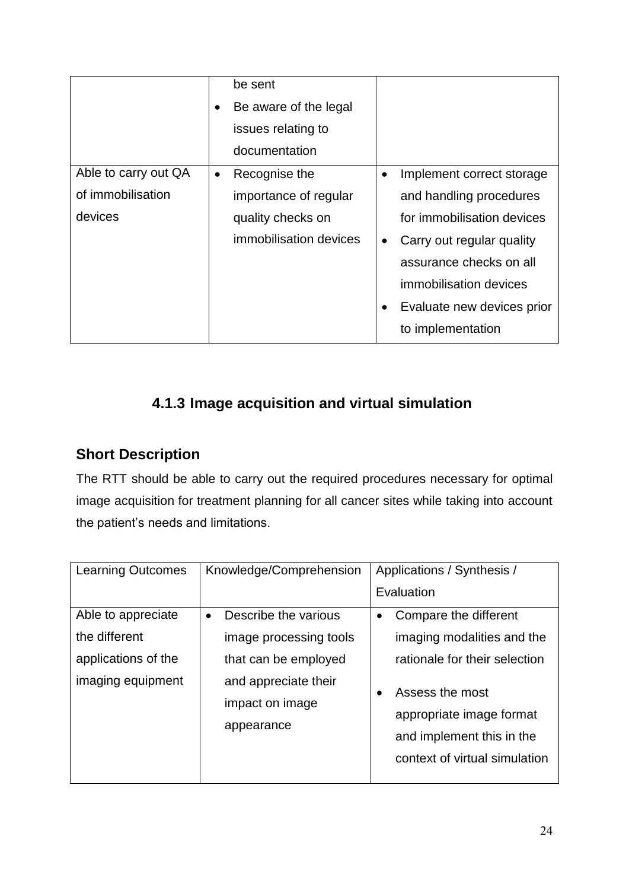|                      | $\bullet$ | be sent<br>Be aware of the legal<br>issues relating to<br>documentation |           |                            |
|----------------------|-----------|-------------------------------------------------------------------------|-----------|----------------------------|
| Able to carry out QA | $\bullet$ | Recognise the                                                           | $\bullet$ | Implement correct storage  |
| of immobilisation    |           | importance of regular                                                   |           | and handling procedures    |
| devices              |           | quality checks on                                                       |           | for immobilisation devices |
|                      |           | immobilisation devices                                                  |           | Carry out regular quality  |
|                      |           |                                                                         |           | assurance checks on all    |
|                      |           |                                                                         |           | immobilisation devices     |
|                      |           |                                                                         |           | Evaluate new devices prior |
|                      |           |                                                                         |           | to implementation          |

# **4.1.3 Image acquisition and virtual simulation**

# **Short Description**

The RTT should be able to carry out the required procedures necessary for optimal image acquisition for treatment planning for all cancer sites while taking into account the patient's needs and limitations.

| <b>Learning Outcomes</b>                                                        | Knowledge/Comprehension                                                                                                                      | Applications / Synthesis /                                                                                                                                                                                     |  |
|---------------------------------------------------------------------------------|----------------------------------------------------------------------------------------------------------------------------------------------|----------------------------------------------------------------------------------------------------------------------------------------------------------------------------------------------------------------|--|
|                                                                                 |                                                                                                                                              | Evaluation                                                                                                                                                                                                     |  |
| Able to appreciate<br>the different<br>applications of the<br>imaging equipment | Describe the various<br>$\bullet$<br>image processing tools<br>that can be employed<br>and appreciate their<br>impact on image<br>appearance | Compare the different<br>$\bullet$<br>imaging modalities and the<br>rationale for their selection<br>Assess the most<br>appropriate image format<br>and implement this in the<br>context of virtual simulation |  |
|                                                                                 |                                                                                                                                              |                                                                                                                                                                                                                |  |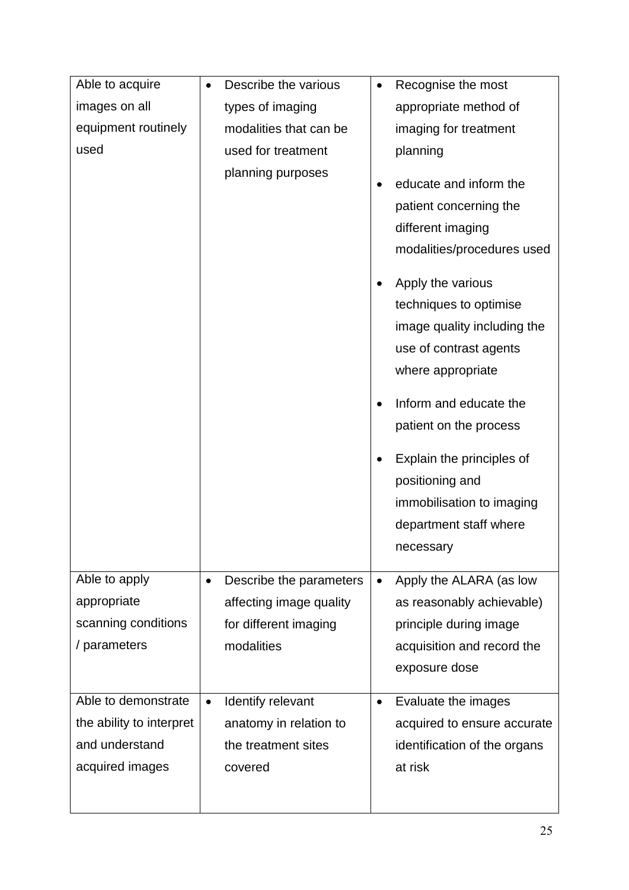| Able to acquire          | Describe the various<br>٠            | Recognise the most                                                                                                                                                                                                                                                                   |
|--------------------------|--------------------------------------|--------------------------------------------------------------------------------------------------------------------------------------------------------------------------------------------------------------------------------------------------------------------------------------|
| images on all            | types of imaging                     | appropriate method of                                                                                                                                                                                                                                                                |
| equipment routinely      | modalities that can be               | imaging for treatment                                                                                                                                                                                                                                                                |
| used                     | used for treatment                   | planning                                                                                                                                                                                                                                                                             |
|                          | planning purposes                    | educate and inform the<br>patient concerning the<br>different imaging<br>modalities/procedures used<br>Apply the various<br>techniques to optimise<br>image quality including the<br>use of contrast agents<br>where appropriate<br>Inform and educate the<br>patient on the process |
|                          |                                      | Explain the principles of<br>positioning and<br>immobilisation to imaging<br>department staff where<br>necessary                                                                                                                                                                     |
| Able to apply            | Describe the parameters<br>$\bullet$ | Apply the ALARA (as low                                                                                                                                                                                                                                                              |
| appropriate              | affecting image quality              | as reasonably achievable)                                                                                                                                                                                                                                                            |
| scanning conditions      | for different imaging                | principle during image                                                                                                                                                                                                                                                               |
| / parameters             | modalities                           | acquisition and record the                                                                                                                                                                                                                                                           |
|                          |                                      | exposure dose                                                                                                                                                                                                                                                                        |
| Able to demonstrate      | Identify relevant<br>$\bullet$       | Evaluate the images<br>٠                                                                                                                                                                                                                                                             |
| the ability to interpret | anatomy in relation to               | acquired to ensure accurate                                                                                                                                                                                                                                                          |
| and understand           | the treatment sites                  | identification of the organs                                                                                                                                                                                                                                                         |
| acquired images          | covered                              | at risk                                                                                                                                                                                                                                                                              |
|                          |                                      |                                                                                                                                                                                                                                                                                      |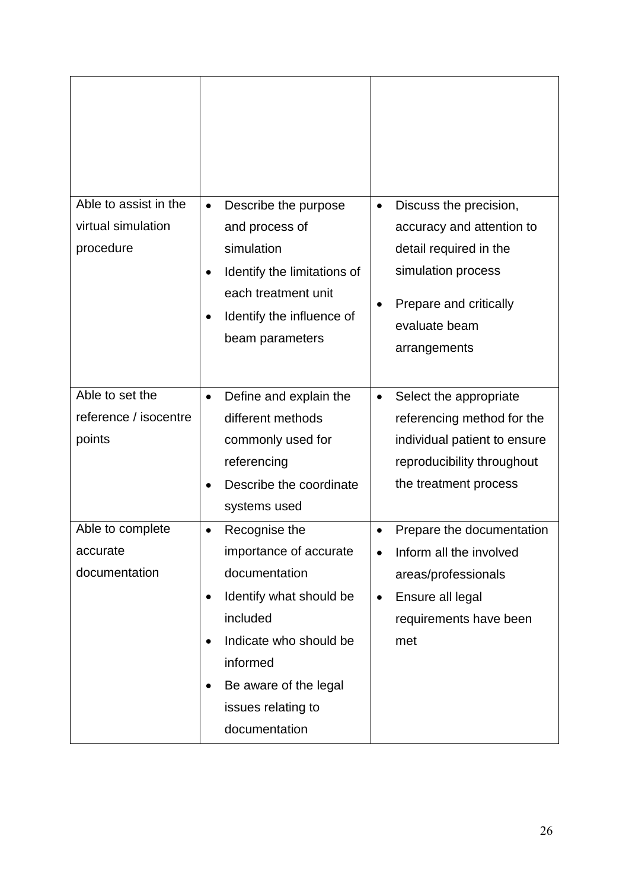| Able to assist in the<br>virtual simulation<br>procedure | Describe the purpose<br>Discuss the precision,<br>$\bullet$<br>$\bullet$<br>and process of<br>accuracy and attention to<br>simulation<br>detail required in the<br>simulation process<br>Identify the limitations of<br>each treatment unit<br>Prepare and critically<br>Identify the influence of<br>$\bullet$<br>evaluate beam<br>beam parameters<br>arrangements                                        |
|----------------------------------------------------------|------------------------------------------------------------------------------------------------------------------------------------------------------------------------------------------------------------------------------------------------------------------------------------------------------------------------------------------------------------------------------------------------------------|
| Able to set the<br>reference / isocentre<br>points       | Define and explain the<br>Select the appropriate<br>$\bullet$<br>different methods<br>referencing method for the<br>commonly used for<br>individual patient to ensure<br>referencing<br>reproducibility throughout<br>Describe the coordinate<br>the treatment process<br>systems used                                                                                                                     |
| Able to complete<br>accurate<br>documentation            | Recognise the<br>Prepare the documentation<br>importance of accurate<br>Inform all the involved<br>$\bullet$<br>documentation<br>areas/professionals<br>Identify what should be<br>Ensure all legal<br>$\bullet$<br>$\bullet$<br>included<br>requirements have been<br>Indicate who should be<br>met<br>$\bullet$<br>informed<br>Be aware of the legal<br>$\bullet$<br>issues relating to<br>documentation |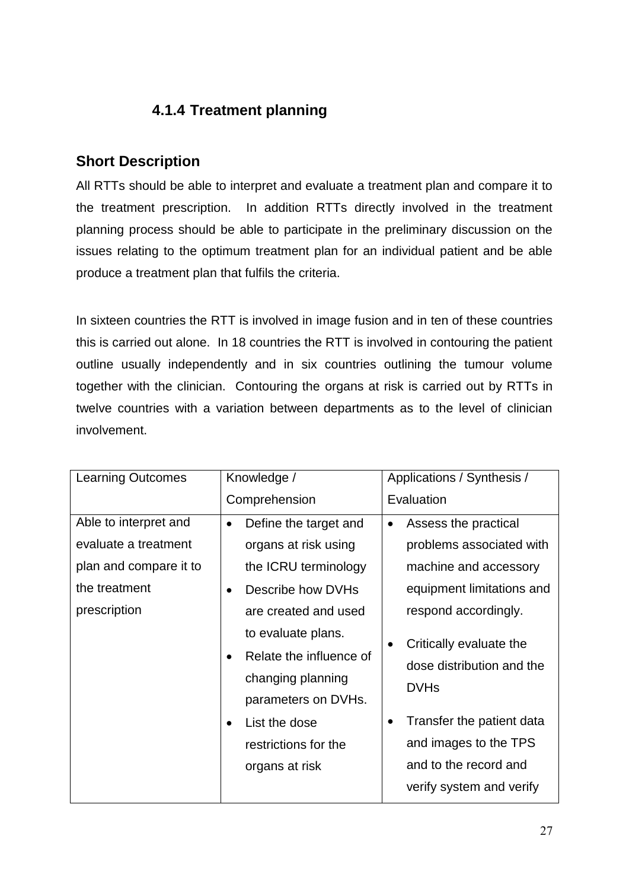# **4.1.4 Treatment planning**

# **Short Description**

All RTTs should be able to interpret and evaluate a treatment plan and compare it to the treatment prescription. In addition RTTs directly involved in the treatment planning process should be able to participate in the preliminary discussion on the issues relating to the optimum treatment plan for an individual patient and be able produce a treatment plan that fulfils the criteria.

In sixteen countries the RTT is involved in image fusion and in ten of these countries this is carried out alone. In 18 countries the RTT is involved in contouring the patient outline usually independently and in six countries outlining the tumour volume together with the clinician. Contouring the organs at risk is carried out by RTTs in twelve countries with a variation between departments as to the level of clinician involvement.

| <b>Learning Outcomes</b>                                                                                 | Knowledge /                                                                                                                                                                                                                                                                                                                    | Applications / Synthesis /                                                                                                                                                                                                                                                                                                         |
|----------------------------------------------------------------------------------------------------------|--------------------------------------------------------------------------------------------------------------------------------------------------------------------------------------------------------------------------------------------------------------------------------------------------------------------------------|------------------------------------------------------------------------------------------------------------------------------------------------------------------------------------------------------------------------------------------------------------------------------------------------------------------------------------|
|                                                                                                          | Comprehension                                                                                                                                                                                                                                                                                                                  | Evaluation                                                                                                                                                                                                                                                                                                                         |
| Able to interpret and<br>evaluate a treatment<br>plan and compare it to<br>the treatment<br>prescription | Define the target and<br>$\bullet$<br>organs at risk using<br>the ICRU terminology<br>Describe how DVHs<br>$\bullet$<br>are created and used<br>to evaluate plans.<br>Relate the influence of<br>$\bullet$<br>changing planning<br>parameters on DVHs.<br>List the dose<br>$\bullet$<br>restrictions for the<br>organs at risk | Assess the practical<br>$\bullet$<br>problems associated with<br>machine and accessory<br>equipment limitations and<br>respond accordingly.<br>Critically evaluate the<br>dose distribution and the<br><b>DVHs</b><br>Transfer the patient data<br>٠<br>and images to the TPS<br>and to the record and<br>verify system and verify |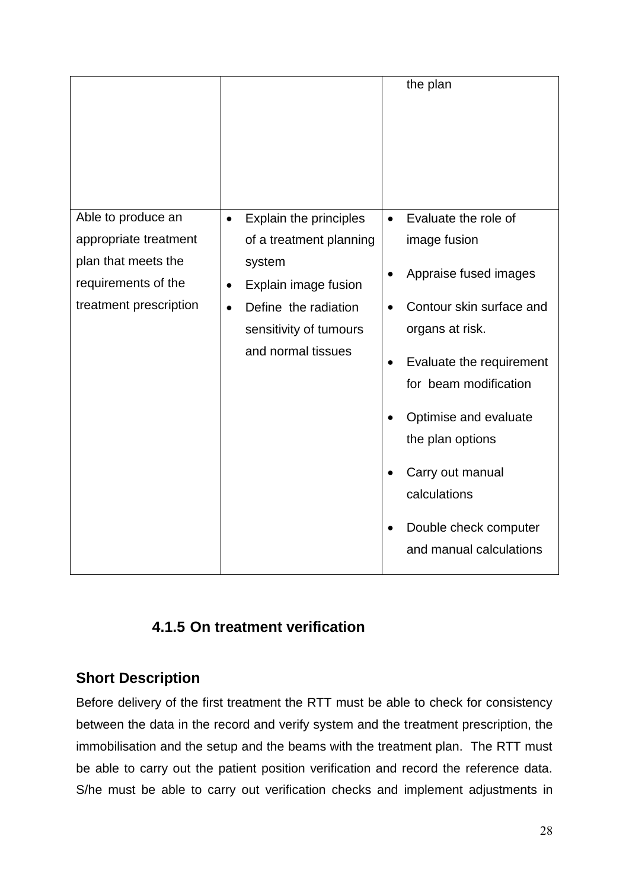|                                              |                                              | the plan                              |
|----------------------------------------------|----------------------------------------------|---------------------------------------|
| Able to produce an                           | Explain the principles<br>$\bullet$          | Evaluate the role of<br>$\bullet$     |
| appropriate treatment<br>plan that meets the | of a treatment planning<br>system            | image fusion                          |
| requirements of the                          | Explain image fusion<br>$\bullet$            | Appraise fused images                 |
| treatment prescription                       | Define the radiation<br>$\bullet$            | Contour skin surface and              |
|                                              | sensitivity of tumours<br>and normal tissues | organs at risk.                       |
|                                              |                                              | Evaluate the requirement<br>$\bullet$ |
|                                              |                                              | for beam modification                 |
|                                              |                                              | Optimise and evaluate                 |
|                                              |                                              | the plan options                      |
|                                              |                                              | Carry out manual                      |
|                                              |                                              | calculations                          |
|                                              |                                              | Double check computer                 |
|                                              |                                              | and manual calculations               |

# **4.1.5 On treatment verification**

## **Short Description**

Before delivery of the first treatment the RTT must be able to check for consistency between the data in the record and verify system and the treatment prescription, the immobilisation and the setup and the beams with the treatment plan. The RTT must be able to carry out the patient position verification and record the reference data. S/he must be able to carry out verification checks and implement adjustments in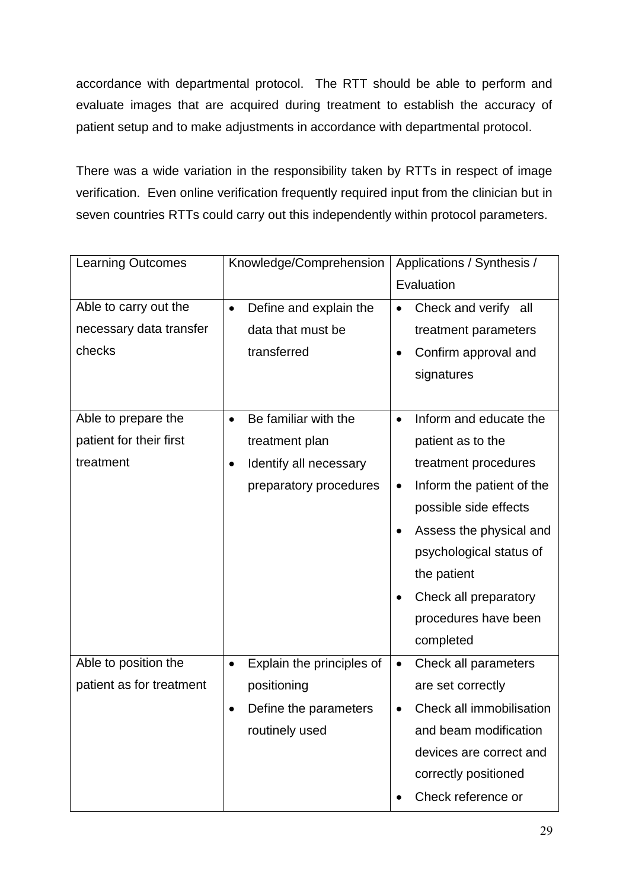accordance with departmental protocol. The RTT should be able to perform and evaluate images that are acquired during treatment to establish the accuracy of patient setup and to make adjustments in accordance with departmental protocol.

There was a wide variation in the responsibility taken by RTTs in respect of image verification. Even online verification frequently required input from the clinician but in seven countries RTTs could carry out this independently within protocol parameters.

| <b>Learning Outcomes</b> | Knowledge/Comprehension                | Applications / Synthesis /             |
|--------------------------|----------------------------------------|----------------------------------------|
|                          |                                        | Evaluation                             |
| Able to carry out the    | Define and explain the<br>$\bullet$    | Check and verify all<br>$\bullet$      |
| necessary data transfer  | data that must be                      | treatment parameters                   |
| checks                   | transferred                            | Confirm approval and<br>$\bullet$      |
|                          |                                        | signatures                             |
|                          |                                        |                                        |
| Able to prepare the      | Be familiar with the<br>$\bullet$      | Inform and educate the<br>$\bullet$    |
| patient for their first  | treatment plan                         | patient as to the                      |
| treatment                | Identify all necessary<br>$\bullet$    | treatment procedures                   |
|                          | preparatory procedures                 | Inform the patient of the<br>$\bullet$ |
|                          |                                        | possible side effects                  |
|                          |                                        | Assess the physical and<br>$\bullet$   |
|                          |                                        | psychological status of                |
|                          |                                        | the patient                            |
|                          |                                        | Check all preparatory<br>$\bullet$     |
|                          |                                        | procedures have been                   |
|                          |                                        | completed                              |
| Able to position the     | Explain the principles of<br>$\bullet$ | Check all parameters<br>$\bullet$      |
| patient as for treatment | positioning                            | are set correctly                      |
|                          | Define the parameters<br>$\bullet$     | Check all immobilisation<br>$\bullet$  |
|                          | routinely used                         | and beam modification                  |
|                          |                                        | devices are correct and                |
|                          |                                        | correctly positioned                   |
|                          |                                        | Check reference or                     |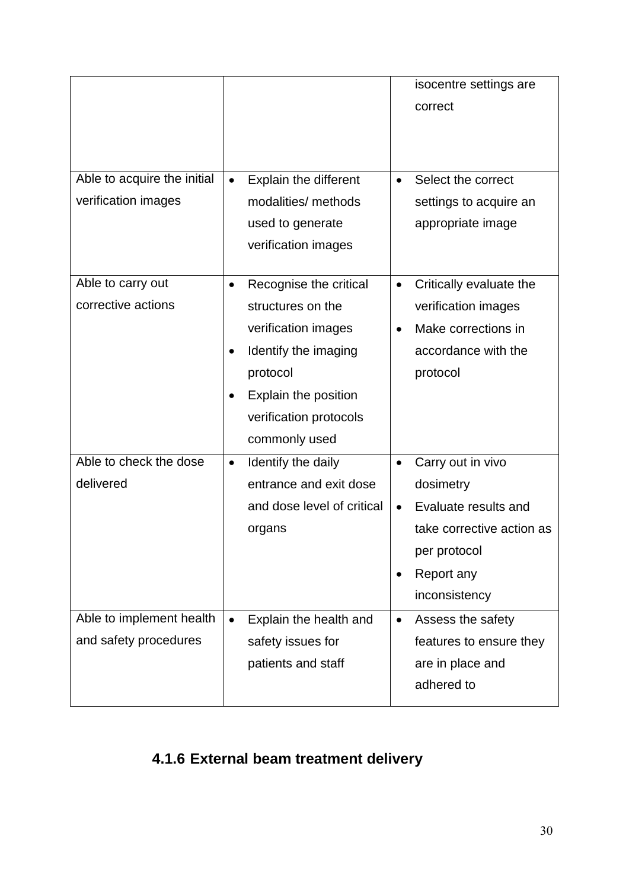| Able to acquire the initial<br>verification images                                       | Explain the different<br>$\bullet$<br>modalities/ methods<br>used to generate<br>verification images                                                                                   | isocentre settings are<br>correct<br>Select the correct<br>$\bullet$<br>settings to acquire an<br>appropriate image                                                                                                                                         |
|------------------------------------------------------------------------------------------|----------------------------------------------------------------------------------------------------------------------------------------------------------------------------------------|-------------------------------------------------------------------------------------------------------------------------------------------------------------------------------------------------------------------------------------------------------------|
| Able to carry out<br>corrective actions                                                  | Recognise the critical<br>$\bullet$<br>structures on the<br>verification images<br>Identify the imaging<br>protocol<br>Explain the position<br>verification protocols<br>commonly used | Critically evaluate the<br>$\bullet$<br>verification images<br>Make corrections in<br>$\bullet$<br>accordance with the<br>protocol                                                                                                                          |
| Able to check the dose<br>delivered<br>Able to implement health<br>and safety procedures | Identify the daily<br>$\bullet$<br>entrance and exit dose<br>and dose level of critical<br>organs<br>Explain the health and<br>safety issues for<br>patients and staff                 | Carry out in vivo<br>$\bullet$<br>dosimetry<br>Evaluate results and<br>$\bullet$<br>take corrective action as<br>per protocol<br>Report any<br>inconsistency<br>Assess the safety<br>$\bullet$<br>features to ensure they<br>are in place and<br>adhered to |

# **4.1.6 External beam treatment delivery**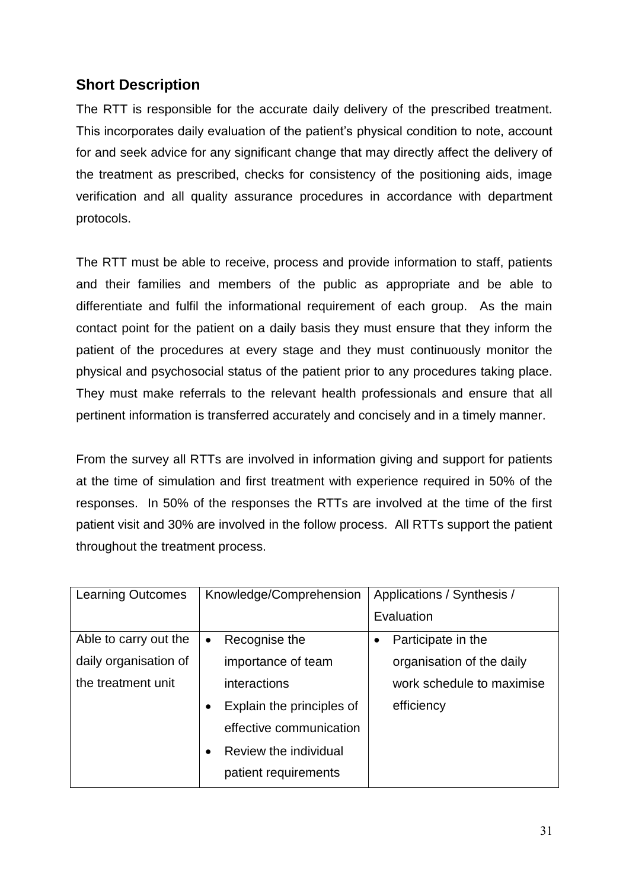## **Short Description**

The RTT is responsible for the accurate daily delivery of the prescribed treatment. This incorporates daily evaluation of the patient's physical condition to note, account for and seek advice for any significant change that may directly affect the delivery of the treatment as prescribed, checks for consistency of the positioning aids, image verification and all quality assurance procedures in accordance with department protocols.

The RTT must be able to receive, process and provide information to staff, patients and their families and members of the public as appropriate and be able to differentiate and fulfil the informational requirement of each group. As the main contact point for the patient on a daily basis they must ensure that they inform the patient of the procedures at every stage and they must continuously monitor the physical and psychosocial status of the patient prior to any procedures taking place. They must make referrals to the relevant health professionals and ensure that all pertinent information is transferred accurately and concisely and in a timely manner.

From the survey all RTTs are involved in information giving and support for patients at the time of simulation and first treatment with experience required in 50% of the responses. In 50% of the responses the RTTs are involved at the time of the first patient visit and 30% are involved in the follow process. All RTTs support the patient throughout the treatment process.

| <b>Learning Outcomes</b> | Knowledge/Comprehension                | Applications / Synthesis /      |
|--------------------------|----------------------------------------|---------------------------------|
|                          |                                        | Evaluation                      |
| Able to carry out the    | Recognise the<br>$\bullet$             | Participate in the<br>$\bullet$ |
| daily organisation of    | importance of team                     | organisation of the daily       |
| the treatment unit       | interactions                           | work schedule to maximise       |
|                          | Explain the principles of<br>$\bullet$ | efficiency                      |
|                          | effective communication                |                                 |
|                          | Review the individual                  |                                 |
|                          | patient requirements                   |                                 |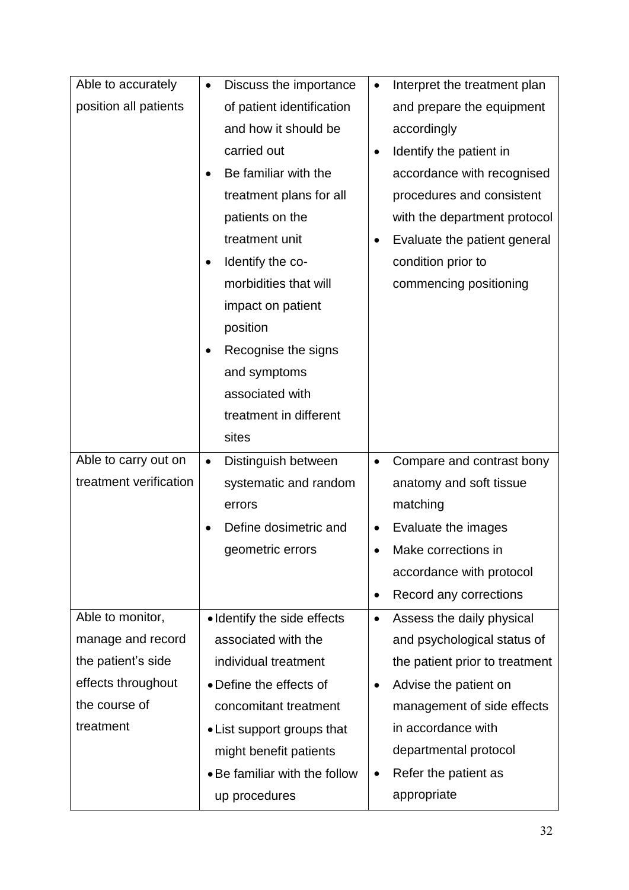| Able to accurately     | Discuss the importance           | Interpret the treatment plan<br>$\bullet$ |
|------------------------|----------------------------------|-------------------------------------------|
| position all patients  | of patient identification        | and prepare the equipment                 |
|                        | and how it should be             | accordingly                               |
|                        | carried out                      | Identify the patient in<br>$\bullet$      |
|                        | Be familiar with the             | accordance with recognised                |
|                        | treatment plans for all          | procedures and consistent                 |
|                        | patients on the                  | with the department protocol              |
|                        | treatment unit                   | Evaluate the patient general<br>٠         |
|                        | Identify the co-<br>$\bullet$    | condition prior to                        |
|                        | morbidities that will            | commencing positioning                    |
|                        | impact on patient                |                                           |
|                        | position                         |                                           |
|                        | Recognise the signs              |                                           |
|                        | and symptoms                     |                                           |
|                        | associated with                  |                                           |
|                        | treatment in different           |                                           |
|                        | sites                            |                                           |
| Able to carry out on   | Distinguish between<br>$\bullet$ | Compare and contrast bony<br>$\bullet$    |
| treatment verification | systematic and random            | anatomy and soft tissue                   |
|                        | errors                           | matching                                  |
|                        | Define dosimetric and            | Evaluate the images                       |
|                        | geometric errors                 | Make corrections in                       |
|                        |                                  | accordance with protocol                  |
|                        |                                  | Record any corrections<br>$\bullet$       |
| Able to monitor,       | • Identify the side effects      | Assess the daily physical<br>$\bullet$    |
| manage and record      | associated with the              | and psychological status of               |
| the patient's side     | individual treatment             | the patient prior to treatment            |
| effects throughout     | • Define the effects of          | Advise the patient on<br>$\bullet$        |
| the course of          | concomitant treatment            | management of side effects                |
| treatment              | • List support groups that       | in accordance with                        |
|                        | might benefit patients           | departmental protocol                     |
|                        | • Be familiar with the follow    | Refer the patient as                      |
|                        | up procedures                    | appropriate                               |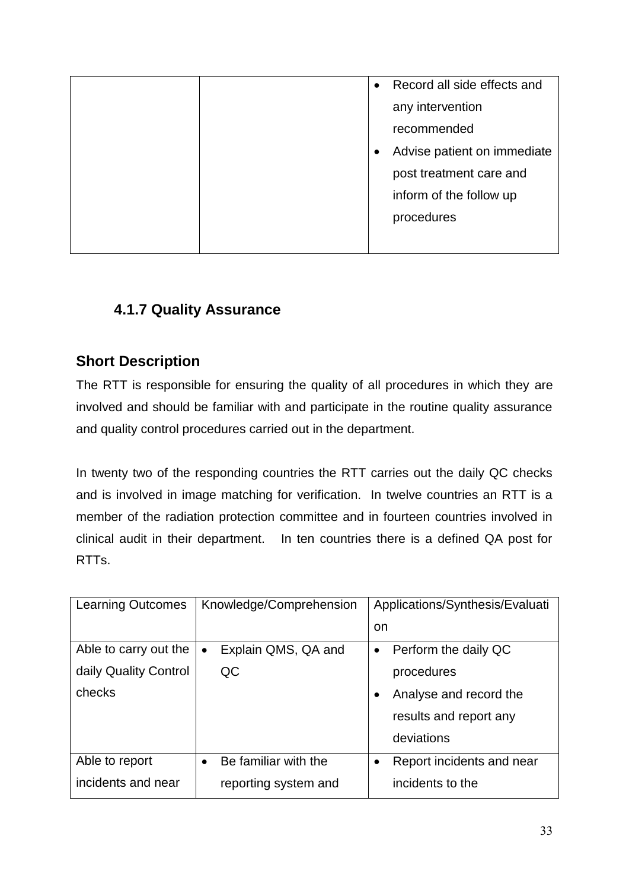|  | $\bullet$ | Record all side effects and |
|--|-----------|-----------------------------|
|  |           | any intervention            |
|  |           | recommended                 |
|  |           | Advise patient on immediate |
|  |           | post treatment care and     |
|  |           | inform of the follow up     |
|  |           | procedures                  |
|  |           |                             |

# **4.1.7 Quality Assurance**

## **Short Description**

The RTT is responsible for ensuring the quality of all procedures in which they are involved and should be familiar with and participate in the routine quality assurance and quality control procedures carried out in the department.

In twenty two of the responding countries the RTT carries out the daily QC checks and is involved in image matching for verification. In twelve countries an RTT is a member of the radiation protection committee and in fourteen countries involved in clinical audit in their department. In ten countries there is a defined QA post for RTTs.

| <b>Learning Outcomes</b> | Knowledge/Comprehension           | Applications/Synthesis/Evaluati   |
|--------------------------|-----------------------------------|-----------------------------------|
|                          |                                   | <sub>on</sub>                     |
| Able to carry out the    | Explain QMS, QA and<br>$\bullet$  | Perform the daily QC<br>$\bullet$ |
| daily Quality Control    | QC                                | procedures                        |
| checks                   |                                   | Analyse and record the            |
|                          |                                   | results and report any            |
|                          |                                   | deviations                        |
| Able to report           | Be familiar with the<br>$\bullet$ | Report incidents and near         |
| incidents and near       | reporting system and              | incidents to the                  |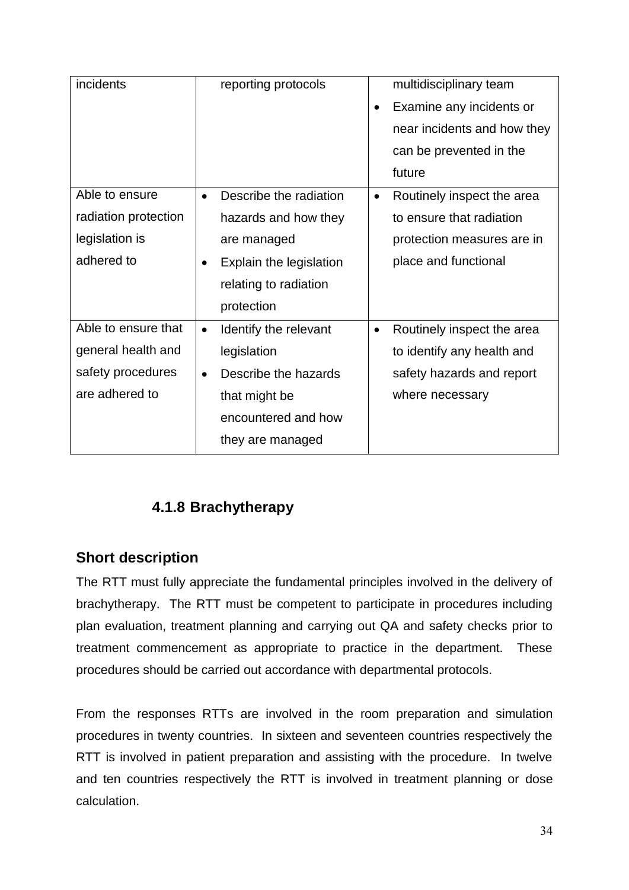| incidents            | reporting protocols                  | multidisciplinary team                  |
|----------------------|--------------------------------------|-----------------------------------------|
|                      |                                      | Examine any incidents or<br>$\bullet$   |
|                      |                                      | near incidents and how they             |
|                      |                                      | can be prevented in the                 |
|                      |                                      | future                                  |
| Able to ensure       | Describe the radiation<br>$\bullet$  | Routinely inspect the area<br>$\bullet$ |
| radiation protection | hazards and how they                 | to ensure that radiation                |
| legislation is       | are managed                          | protection measures are in              |
| adhered to           | Explain the legislation<br>$\bullet$ | place and functional                    |
|                      | relating to radiation                |                                         |
|                      | protection                           |                                         |
| Able to ensure that  | Identify the relevant<br>$\bullet$   | Routinely inspect the area<br>$\bullet$ |
| general health and   | legislation                          | to identify any health and              |
| safety procedures    | Describe the hazards<br>$\bullet$    | safety hazards and report               |
| are adhered to       | that might be                        | where necessary                         |
|                      | encountered and how                  |                                         |
|                      | they are managed                     |                                         |

# **4.1.8 Brachytherapy**

## **Short description**

The RTT must fully appreciate the fundamental principles involved in the delivery of brachytherapy. The RTT must be competent to participate in procedures including plan evaluation, treatment planning and carrying out QA and safety checks prior to treatment commencement as appropriate to practice in the department. These procedures should be carried out accordance with departmental protocols.

From the responses RTTs are involved in the room preparation and simulation procedures in twenty countries. In sixteen and seventeen countries respectively the RTT is involved in patient preparation and assisting with the procedure. In twelve and ten countries respectively the RTT is involved in treatment planning or dose calculation.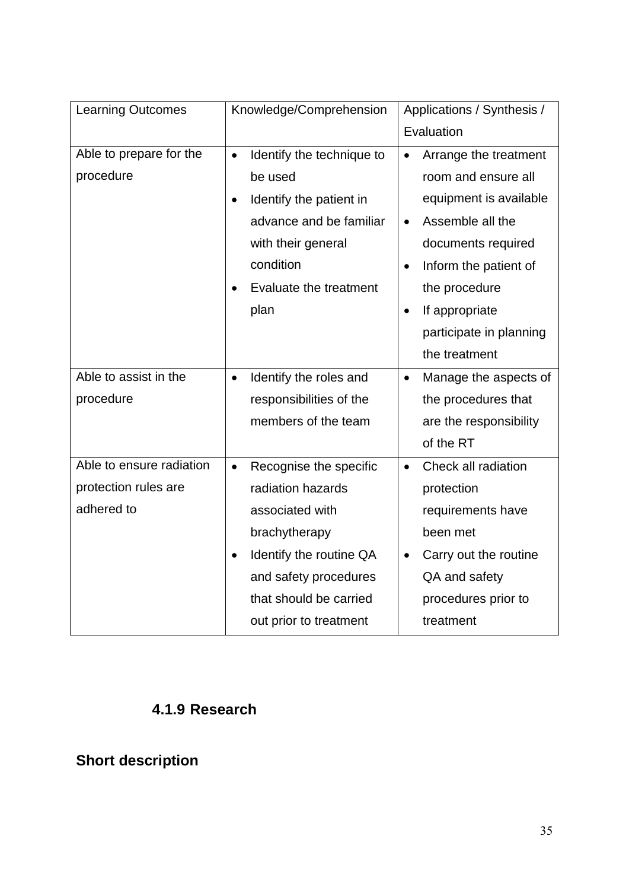| <b>Learning Outcomes</b> | Knowledge/Comprehension                | Applications / Synthesis /         |  |
|--------------------------|----------------------------------------|------------------------------------|--|
|                          |                                        | Evaluation                         |  |
| Able to prepare for the  | Identify the technique to<br>$\bullet$ | Arrange the treatment<br>$\bullet$ |  |
| procedure                | be used                                | room and ensure all                |  |
|                          | Identify the patient in                | equipment is available             |  |
|                          | advance and be familiar                | Assemble all the<br>$\bullet$      |  |
|                          | with their general                     | documents required                 |  |
|                          | condition                              | Inform the patient of              |  |
|                          | Evaluate the treatment                 | the procedure                      |  |
|                          | plan                                   | If appropriate                     |  |
|                          |                                        | participate in planning            |  |
|                          |                                        | the treatment                      |  |
| Able to assist in the    | Identify the roles and<br>$\bullet$    | Manage the aspects of<br>$\bullet$ |  |
| procedure                | responsibilities of the                | the procedures that                |  |
|                          | members of the team                    | are the responsibility             |  |
|                          |                                        | of the RT                          |  |
| Able to ensure radiation | Recognise the specific<br>$\bullet$    | Check all radiation<br>$\bullet$   |  |
| protection rules are     | radiation hazards                      | protection                         |  |
| adhered to               | associated with                        | requirements have                  |  |
|                          | brachytherapy                          | been met                           |  |
|                          | Identify the routine QA                | Carry out the routine              |  |
|                          | and safety procedures                  | QA and safety                      |  |
|                          | that should be carried                 | procedures prior to                |  |
|                          | out prior to treatment                 | treatment                          |  |

# **4.1.9 Research**

# **Short description**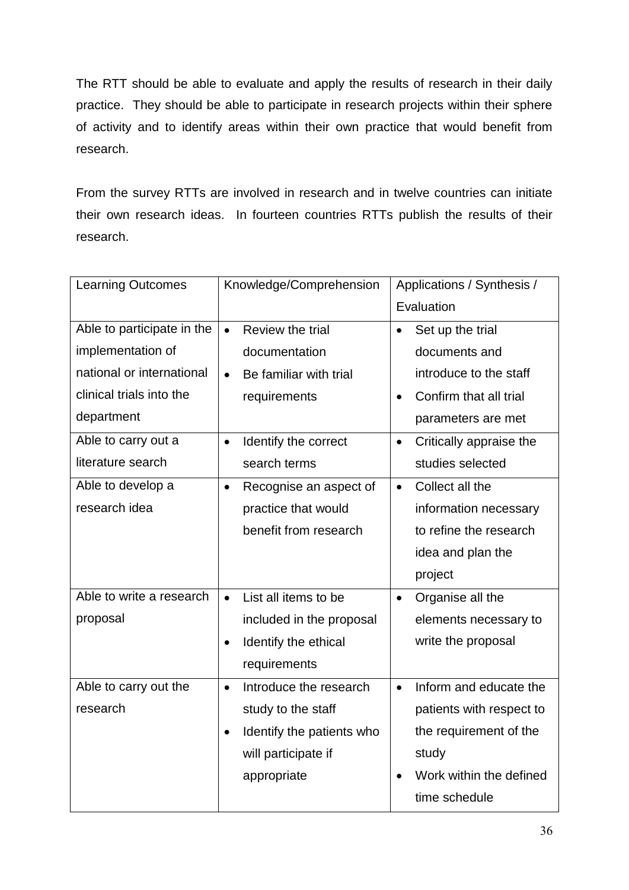The RTT should be able to evaluate and apply the results of research in their daily practice. They should be able to participate in research projects within their sphere of activity and to identify areas within their own practice that would benefit from research.

From the survey RTTs are involved in research and in twelve countries can initiate their own research ideas. In fourteen countries RTTs publish the results of their research.

| <b>Learning Outcomes</b>   | Knowledge/Comprehension                | Applications / Synthesis /           |  |
|----------------------------|----------------------------------------|--------------------------------------|--|
|                            |                                        | Evaluation                           |  |
| Able to participate in the | Review the trial<br>$\bullet$          | Set up the trial<br>$\bullet$        |  |
| implementation of          | documentation                          | documents and                        |  |
| national or international  | Be familiar with trial<br>$\bullet$    | introduce to the staff               |  |
| clinical trials into the   | requirements                           | Confirm that all trial<br>$\bullet$  |  |
| department                 |                                        | parameters are met                   |  |
| Able to carry out a        | Identify the correct<br>$\bullet$      | Critically appraise the<br>$\bullet$ |  |
| literature search          | search terms                           | studies selected                     |  |
| Able to develop a          | Recognise an aspect of<br>$\bullet$    | Collect all the<br>$\bullet$         |  |
| research idea              | practice that would                    | information necessary                |  |
|                            | benefit from research                  | to refine the research               |  |
|                            |                                        | idea and plan the                    |  |
|                            |                                        | project                              |  |
| Able to write a research   | List all items to be<br>$\bullet$      | Organise all the<br>$\bullet$        |  |
| proposal                   | included in the proposal               | elements necessary to                |  |
|                            | Identify the ethical<br>$\bullet$      | write the proposal                   |  |
|                            | requirements                           |                                      |  |
| Able to carry out the      | Introduce the research<br>$\bullet$    | Inform and educate the<br>$\bullet$  |  |
| research                   | study to the staff                     | patients with respect to             |  |
|                            | Identify the patients who<br>$\bullet$ | the requirement of the               |  |
|                            | will participate if                    | study                                |  |
|                            | appropriate                            | Work within the defined              |  |
|                            |                                        | time schedule                        |  |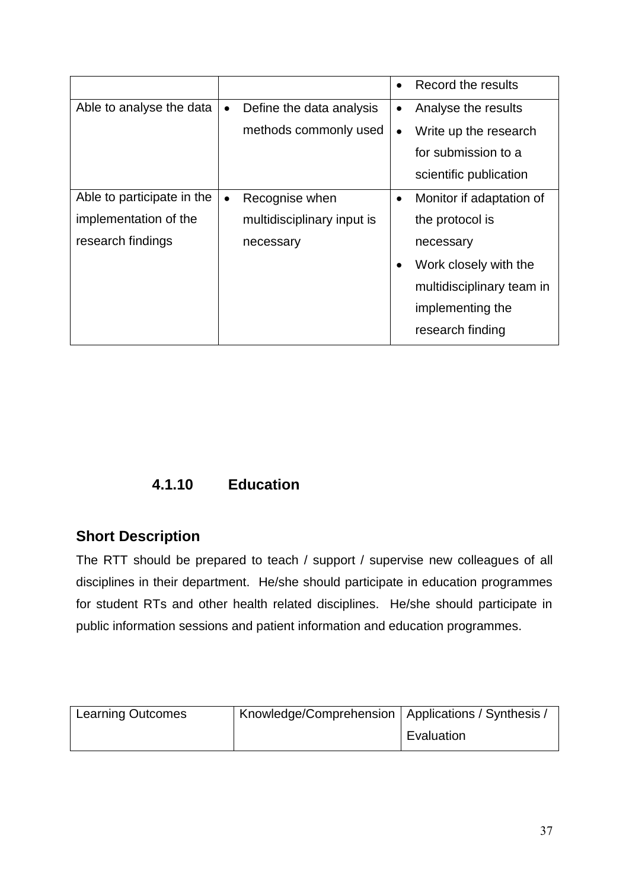|                            |           |                            | $\bullet$ | Record the results        |
|----------------------------|-----------|----------------------------|-----------|---------------------------|
| Able to analyse the data   | $\bullet$ | Define the data analysis   | $\bullet$ | Analyse the results       |
|                            |           | methods commonly used      | $\bullet$ | Write up the research     |
|                            |           |                            |           | for submission to a       |
|                            |           |                            |           | scientific publication    |
| Able to participate in the | $\bullet$ | Recognise when             |           | Monitor if adaptation of  |
| implementation of the      |           | multidisciplinary input is |           | the protocol is           |
| research findings          |           | necessary                  |           | necessary                 |
|                            |           |                            |           | Work closely with the     |
|                            |           |                            |           | multidisciplinary team in |
|                            |           |                            |           | implementing the          |
|                            |           |                            |           | research finding          |

# **4.1.10 Education**

# **Short Description**

The RTT should be prepared to teach / support / supervise new colleagues of all disciplines in their department. He/she should participate in education programmes for student RTs and other health related disciplines. He/she should participate in public information sessions and patient information and education programmes.

| <b>Learning Outcomes</b> | Knowledge/Comprehension   Applications / Synthesis / |            |
|--------------------------|------------------------------------------------------|------------|
|                          |                                                      | Evaluation |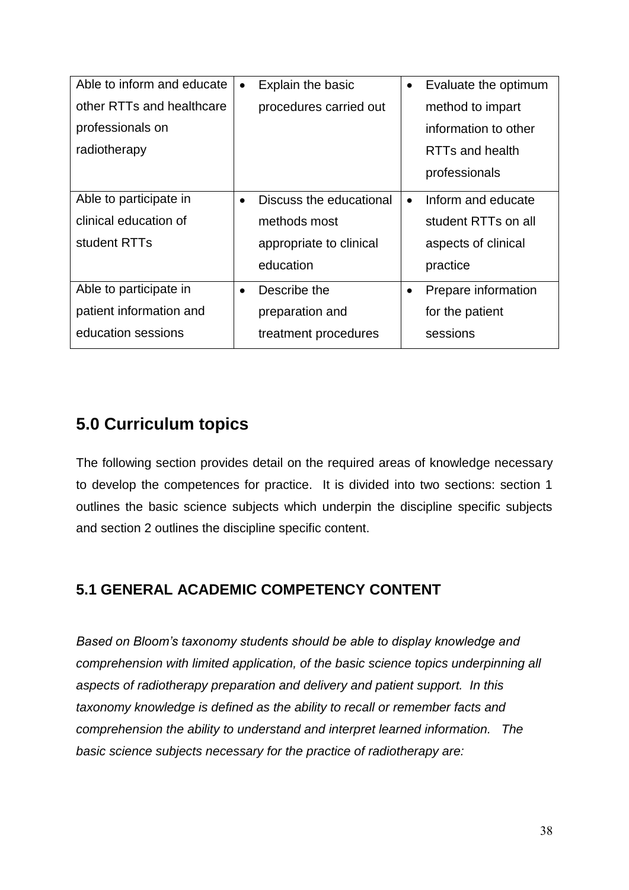| Able to inform and educate | $\bullet$ | Explain the basic       |           | Evaluate the optimum |
|----------------------------|-----------|-------------------------|-----------|----------------------|
| other RTTs and healthcare  |           | procedures carried out  |           | method to impart     |
| professionals on           |           |                         |           | information to other |
| radiotherapy               |           |                         |           | RTTs and health      |
|                            |           |                         |           | professionals        |
| Able to participate in     | $\bullet$ | Discuss the educational | $\bullet$ | Inform and educate   |
| clinical education of      |           | methods most            |           | student RTTs on all  |
| student RTTs               |           | appropriate to clinical |           | aspects of clinical  |
|                            |           | education               |           | practice             |
| Able to participate in     | $\bullet$ | Describe the            | $\bullet$ | Prepare information  |
| patient information and    |           | preparation and         |           | for the patient      |
| education sessions         |           | treatment procedures    |           | sessions             |

The following section provides detail on the required areas of knowledge necessary to develop the competences for practice. It is divided into two sections: section 1 outlines the basic science subjects which underpin the discipline specific subjects and section 2 outlines the discipline specific content.

# **5.1 GENERAL ACADEMIC COMPETENCY CONTENT**

*Based on Bloom's taxonomy students should be able to display knowledge and comprehension with limited application, of the basic science topics underpinning all aspects of radiotherapy preparation and delivery and patient support. In this taxonomy knowledge is defined as the ability to recall or remember facts and comprehension the ability to understand and interpret learned information. The basic science subjects necessary for the practice of radiotherapy are:*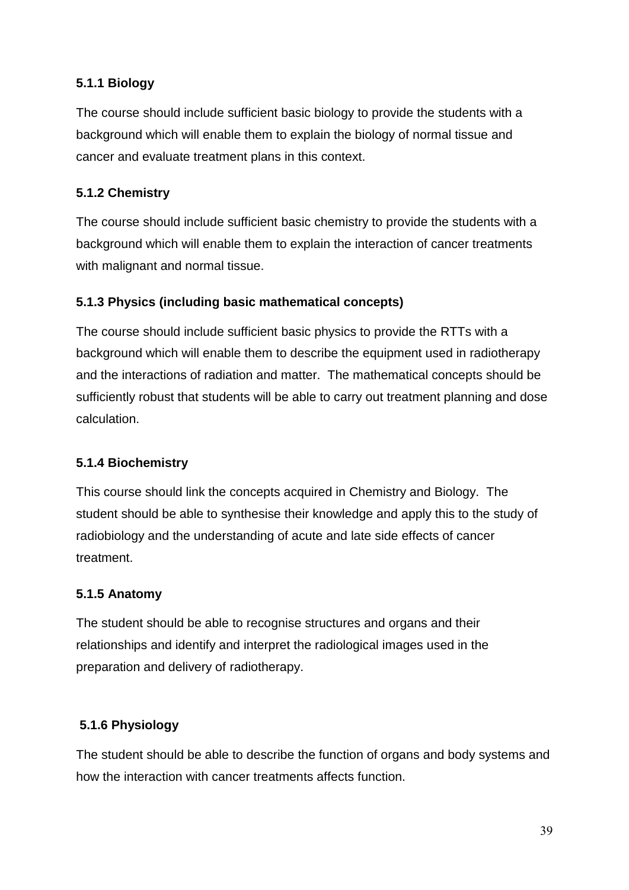## **5.1.1 Biology**

The course should include sufficient basic biology to provide the students with a background which will enable them to explain the biology of normal tissue and cancer and evaluate treatment plans in this context.

## **5.1.2 Chemistry**

The course should include sufficient basic chemistry to provide the students with a background which will enable them to explain the interaction of cancer treatments with malignant and normal tissue.

## **5.1.3 Physics (including basic mathematical concepts)**

The course should include sufficient basic physics to provide the RTTs with a background which will enable them to describe the equipment used in radiotherapy and the interactions of radiation and matter. The mathematical concepts should be sufficiently robust that students will be able to carry out treatment planning and dose calculation.

#### **5.1.4 Biochemistry**

This course should link the concepts acquired in Chemistry and Biology. The student should be able to synthesise their knowledge and apply this to the study of radiobiology and the understanding of acute and late side effects of cancer treatment.

#### **5.1.5 Anatomy**

The student should be able to recognise structures and organs and their relationships and identify and interpret the radiological images used in the preparation and delivery of radiotherapy.

## **5.1.6 Physiology**

The student should be able to describe the function of organs and body systems and how the interaction with cancer treatments affects function.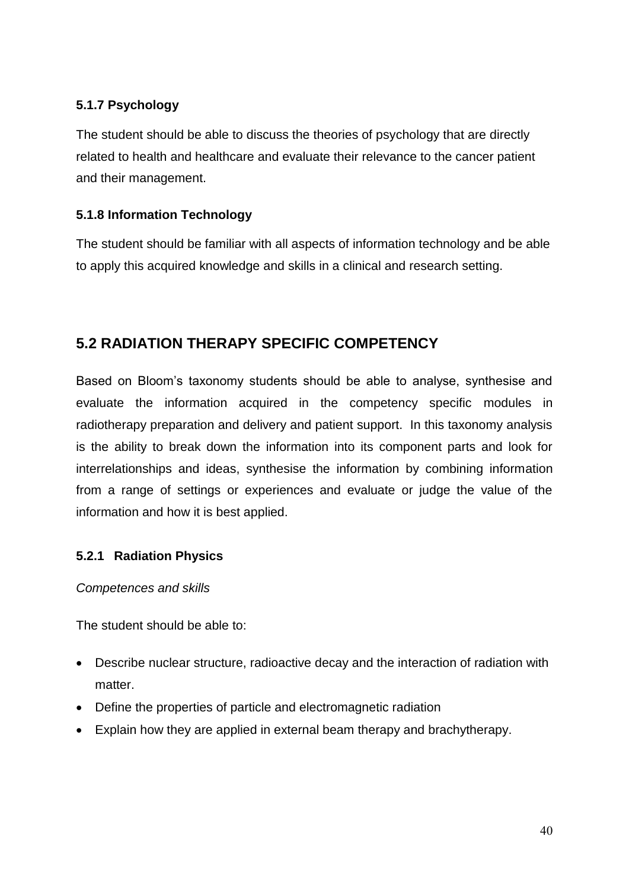## **5.1.7 Psychology**

The student should be able to discuss the theories of psychology that are directly related to health and healthcare and evaluate their relevance to the cancer patient and their management.

### **5.1.8 Information Technology**

The student should be familiar with all aspects of information technology and be able to apply this acquired knowledge and skills in a clinical and research setting.

## **5.2 RADIATION THERAPY SPECIFIC COMPETENCY**

Based on Bloom's taxonomy students should be able to analyse, synthesise and evaluate the information acquired in the competency specific modules in radiotherapy preparation and delivery and patient support. In this taxonomy analysis is the ability to break down the information into its component parts and look for interrelationships and ideas, synthesise the information by combining information from a range of settings or experiences and evaluate or judge the value of the information and how it is best applied.

#### **5.2.1 Radiation Physics**

#### *Competences and skills*

The student should be able to:

- Describe nuclear structure, radioactive decay and the interaction of radiation with matter.
- Define the properties of particle and electromagnetic radiation
- Explain how they are applied in external beam therapy and brachytherapy.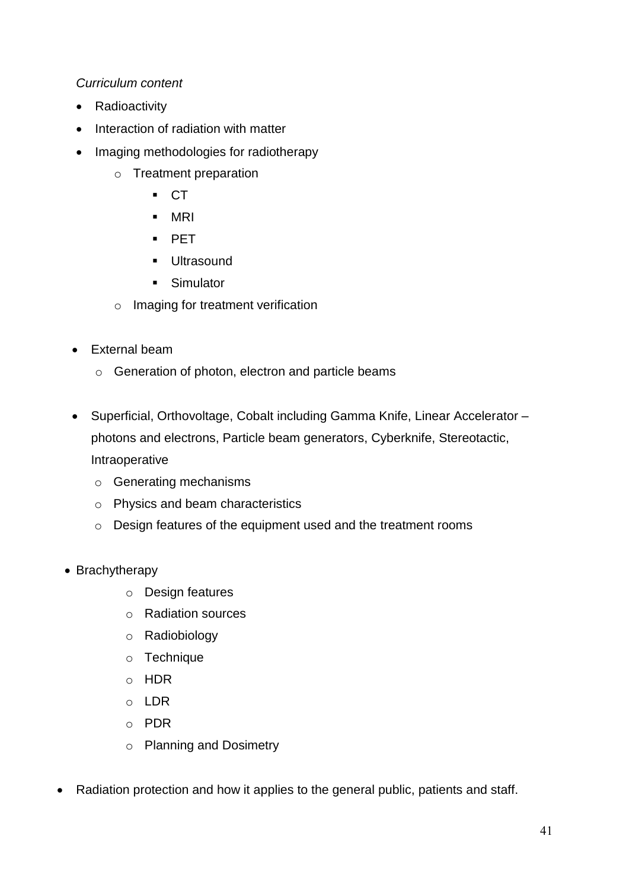#### *Curriculum content*

- Radioactivity
- Interaction of radiation with matter
- Imaging methodologies for radiotherapy
	- o Treatment preparation
		- $\overline{C}$
		- MRI
		- **PET**
		- **Ultrasound**
		- **Simulator**
	- o Imaging for treatment verification
- External beam
	- o Generation of photon, electron and particle beams
- Superficial, Orthovoltage, Cobalt including Gamma Knife, Linear Accelerator photons and electrons, Particle beam generators, Cyberknife, Stereotactic, Intraoperative
	- o Generating mechanisms
	- o Physics and beam characteristics
	- o Design features of the equipment used and the treatment rooms
- Brachytherapy
	- o Design features
	- o Radiation sources
	- o Radiobiology
	- o Technique
	- o HDR
	- o LDR
	- o PDR
	- o Planning and Dosimetry
- Radiation protection and how it applies to the general public, patients and staff.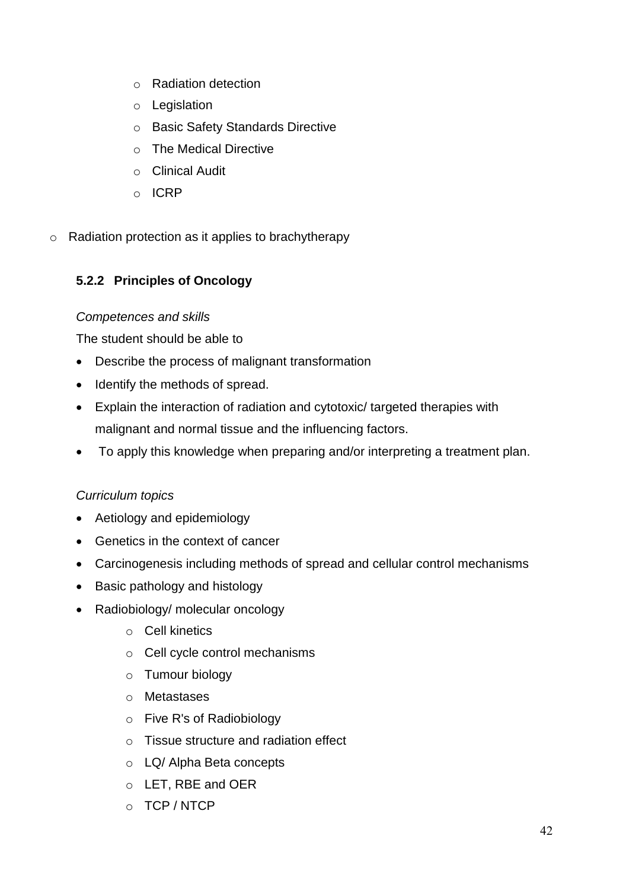- o Radiation detection
- o Legislation
- o Basic Safety Standards Directive
- o The Medical Directive
- o Clinical Audit
- o ICRP
- o Radiation protection as it applies to brachytherapy

## **5.2.2 Principles of Oncology**

#### *Competences and skills*

The student should be able to

- Describe the process of malignant transformation
- Identify the methods of spread.
- Explain the interaction of radiation and cytotoxic/ targeted therapies with malignant and normal tissue and the influencing factors.
- To apply this knowledge when preparing and/or interpreting a treatment plan.

## *Curriculum topics*

- Aetiology and epidemiology
- Genetics in the context of cancer
- Carcinogenesis including methods of spread and cellular control mechanisms
- Basic pathology and histology
- Radiobiology/ molecular oncology
	- o Cell kinetics
	- o Cell cycle control mechanisms
	- o Tumour biology
	- o Metastases
	- o Five R's of Radiobiology
	- o Tissue structure and radiation effect
	- o LQ/ Alpha Beta concepts
	- o LET, RBE and OER
	- o TCP / NTCP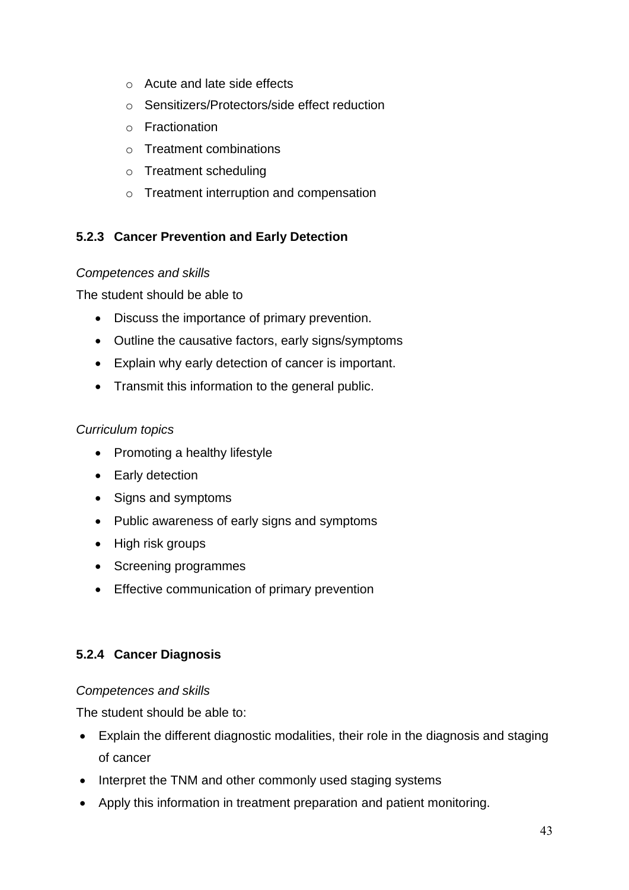- o Acute and late side effects
- o Sensitizers/Protectors/side effect reduction
- o Fractionation
- o Treatment combinations
- o Treatment scheduling
- o Treatment interruption and compensation

## **5.2.3 Cancer Prevention and Early Detection**

#### *Competences and skills*

The student should be able to

- Discuss the importance of primary prevention.
- Outline the causative factors, early signs/symptoms
- Explain why early detection of cancer is important.
- Transmit this information to the general public.

### *Curriculum topics*

- Promoting a healthy lifestyle
- Early detection
- Signs and symptoms
- Public awareness of early signs and symptoms
- High risk groups
- Screening programmes
- **•** Effective communication of primary prevention

#### **5.2.4 Cancer Diagnosis**

#### *Competences and skills*

The student should be able to:

- Explain the different diagnostic modalities, their role in the diagnosis and staging of cancer
- Interpret the TNM and other commonly used staging systems
- Apply this information in treatment preparation and patient monitoring.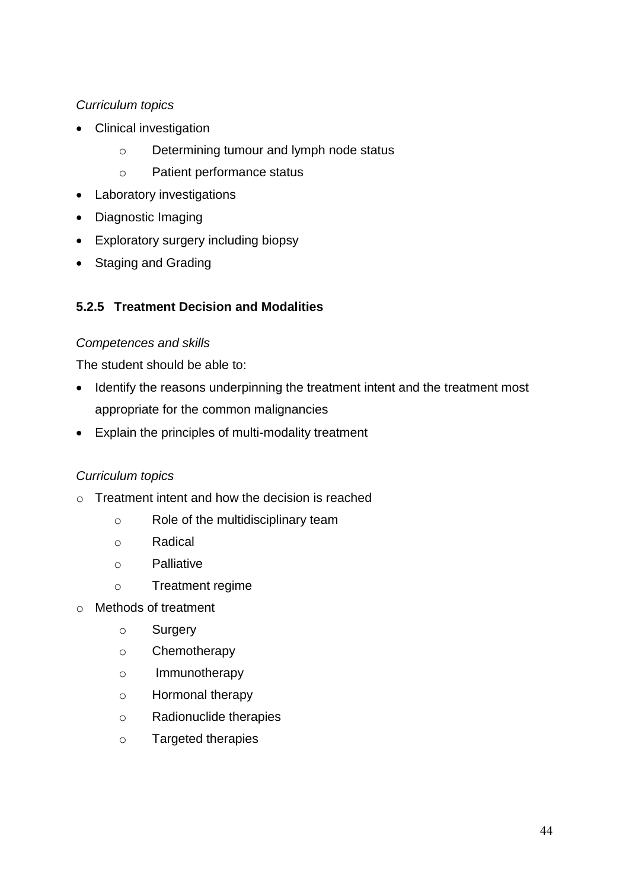- Clinical investigation
	- o Determining tumour and lymph node status
	- o Patient performance status
- Laboratory investigations
- Diagnostic Imaging
- Exploratory surgery including biopsy
- Staging and Grading

## **5.2.5 Treatment Decision and Modalities**

#### *Competences and skills*

The student should be able to:

- Identify the reasons underpinning the treatment intent and the treatment most appropriate for the common malignancies
- Explain the principles of multi-modality treatment

#### *Curriculum topics*

- $\circ$  Treatment intent and how the decision is reached
	- o Role of the multidisciplinary team
	- o Radical
	- o Palliative
	- o Treatment regime
- o Methods of treatment
	- o Surgery
	- o Chemotherapy
	- o Immunotherapy
	- o Hormonal therapy
	- o Radionuclide therapies
	- o Targeted therapies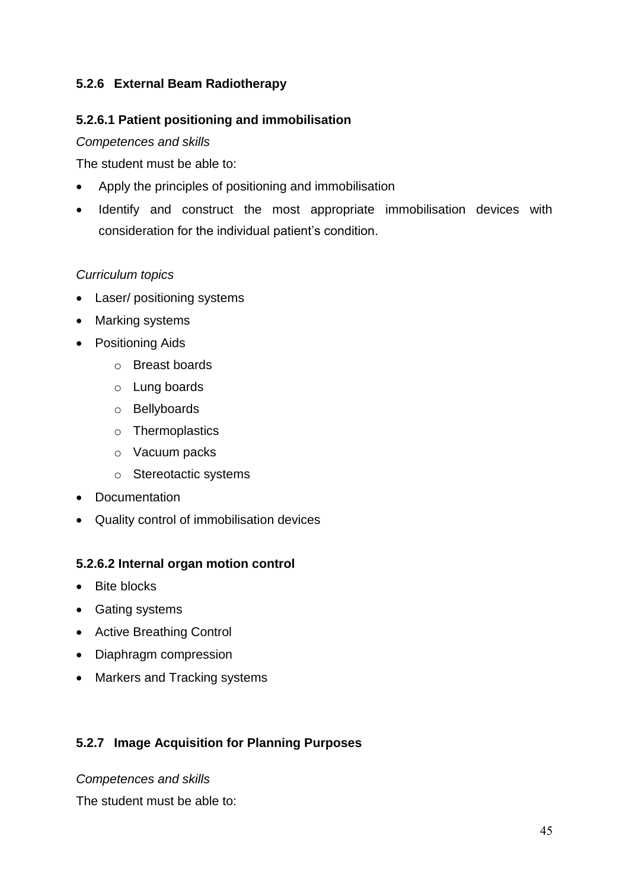### **5.2.6 External Beam Radiotherapy**

#### **5.2.6.1 Patient positioning and immobilisation**

#### *Competences and skills*

The student must be able to:

- Apply the principles of positioning and immobilisation
- Identify and construct the most appropriate immobilisation devices with consideration for the individual patient's condition.

### *Curriculum topics*

- Laser/ positioning systems
- Marking systems
- Positioning Aids
	- o Breast boards
	- o Lung boards
	- o Bellyboards
	- o Thermoplastics
	- o Vacuum packs
	- o Stereotactic systems
- Documentation
- Quality control of immobilisation devices

#### **5.2.6.2 Internal organ motion control**

- Bite blocks
- Gating systems
- Active Breathing Control
- Diaphragm compression
- Markers and Tracking systems

#### **5.2.7 Image Acquisition for Planning Purposes**

#### *Competences and skills*

The student must be able to: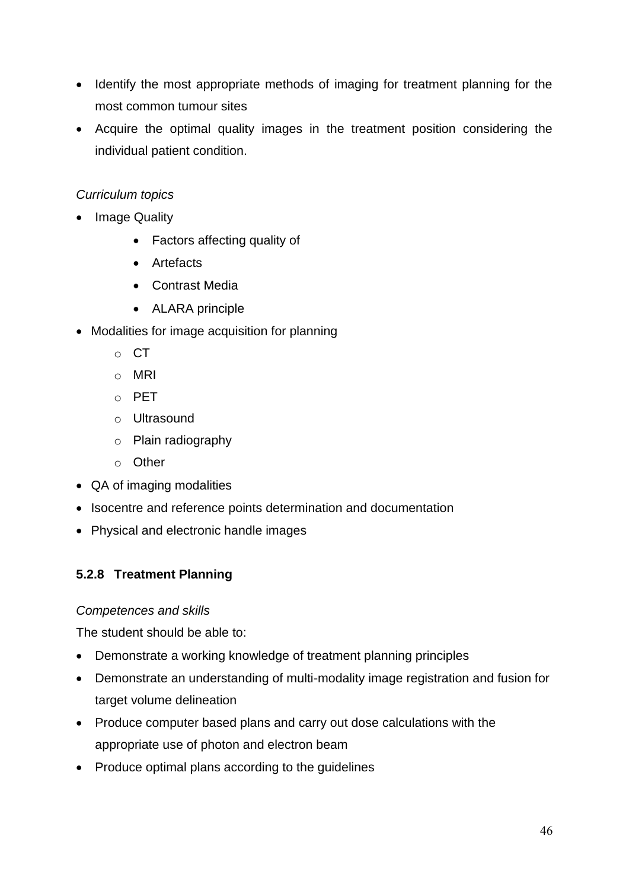- Identify the most appropriate methods of imaging for treatment planning for the most common tumour sites
- Acquire the optimal quality images in the treatment position considering the individual patient condition.

- Image Quality
	- Factors affecting quality of
	- Artefacts
	- Contrast Media
	- ALARA principle
- Modalities for image acquisition for planning
	- o CT
	- o MRI
	- o PET
	- o Ultrasound
	- o Plain radiography
	- o Other
- QA of imaging modalities
- Isocentre and reference points determination and documentation
- Physical and electronic handle images

## **5.2.8 Treatment Planning**

#### *Competences and skills*

The student should be able to:

- Demonstrate a working knowledge of treatment planning principles
- Demonstrate an understanding of multi-modality image registration and fusion for target volume delineation
- Produce computer based plans and carry out dose calculations with the appropriate use of photon and electron beam
- Produce optimal plans according to the guidelines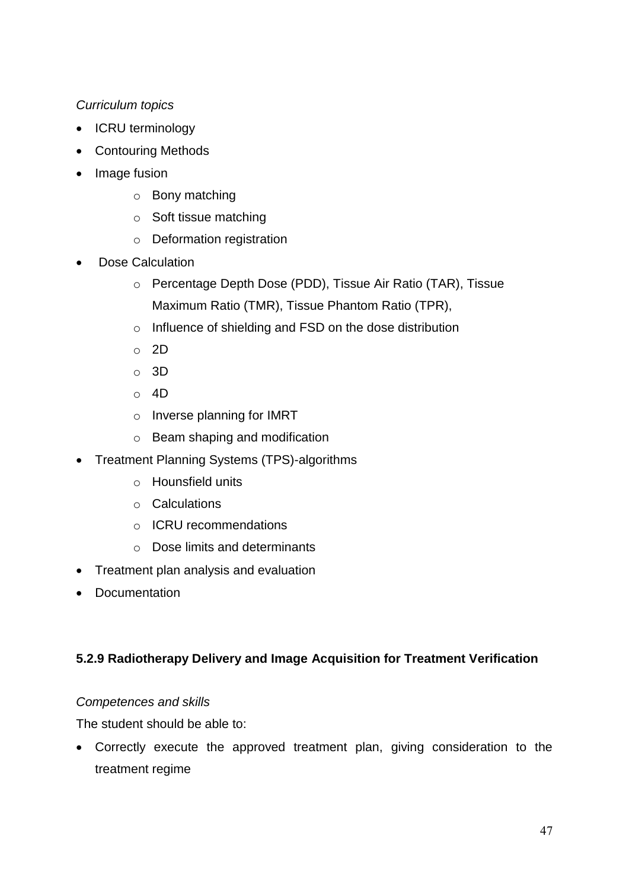- ICRU terminology
- Contouring Methods
- Image fusion
	- o Bony matching
	- o Soft tissue matching
	- o Deformation registration
- Dose Calculation
	- o Percentage Depth Dose (PDD), Tissue Air Ratio (TAR), Tissue Maximum Ratio (TMR), Tissue Phantom Ratio (TPR),
	- o Influence of shielding and FSD on the dose distribution
	- o 2D
	- o 3D
	- o 4D
	- o Inverse planning for IMRT
	- o Beam shaping and modification
- Treatment Planning Systems (TPS)-algorithms
	- o Hounsfield units
	- o Calculations
	- o ICRU recommendations
	- o Dose limits and determinants
- Treatment plan analysis and evaluation
- Documentation

## **5.2.9 Radiotherapy Delivery and Image Acquisition for Treatment Verification**

#### *Competences and skills*

The student should be able to:

 Correctly execute the approved treatment plan, giving consideration to the treatment regime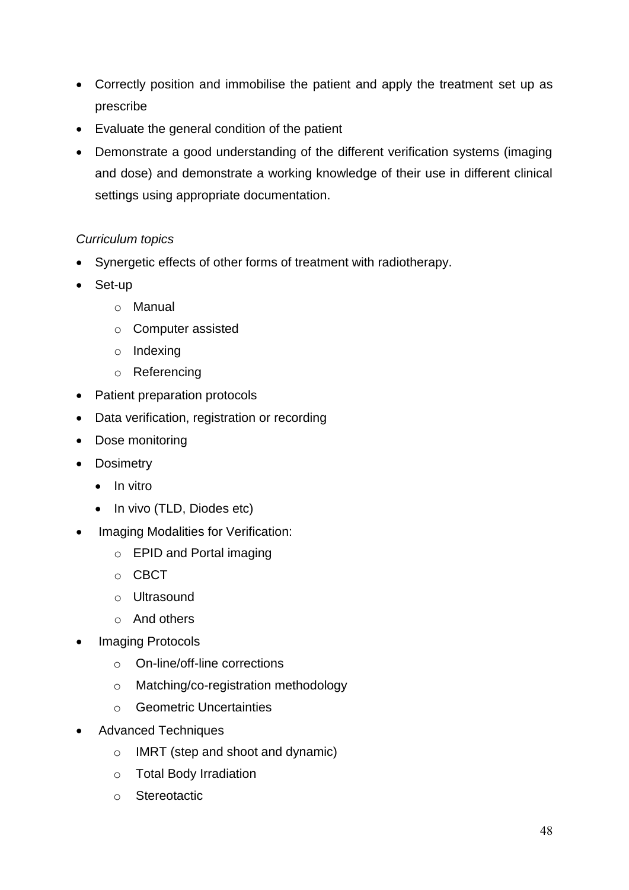- Correctly position and immobilise the patient and apply the treatment set up as prescribe
- Evaluate the general condition of the patient
- Demonstrate a good understanding of the different verification systems (imaging and dose) and demonstrate a working knowledge of their use in different clinical settings using appropriate documentation.

- Synergetic effects of other forms of treatment with radiotherapy.
- Set-up
	- o Manual
	- o Computer assisted
	- o Indexing
	- o Referencing
- Patient preparation protocols
- Data verification, registration or recording
- Dose monitoring
- Dosimetry
	- $\bullet$  In vitro
	- In vivo (TLD, Diodes etc)
- Imaging Modalities for Verification:
	- o EPID and Portal imaging
	- o CBCT
	- o Ultrasound
	- o And others
- Imaging Protocols
	- o On-line/off-line corrections
	- o Matching/co-registration methodology
	- o Geometric Uncertainties
- Advanced Techniques
	- o IMRT (step and shoot and dynamic)
	- o Total Body Irradiation
	- o Stereotactic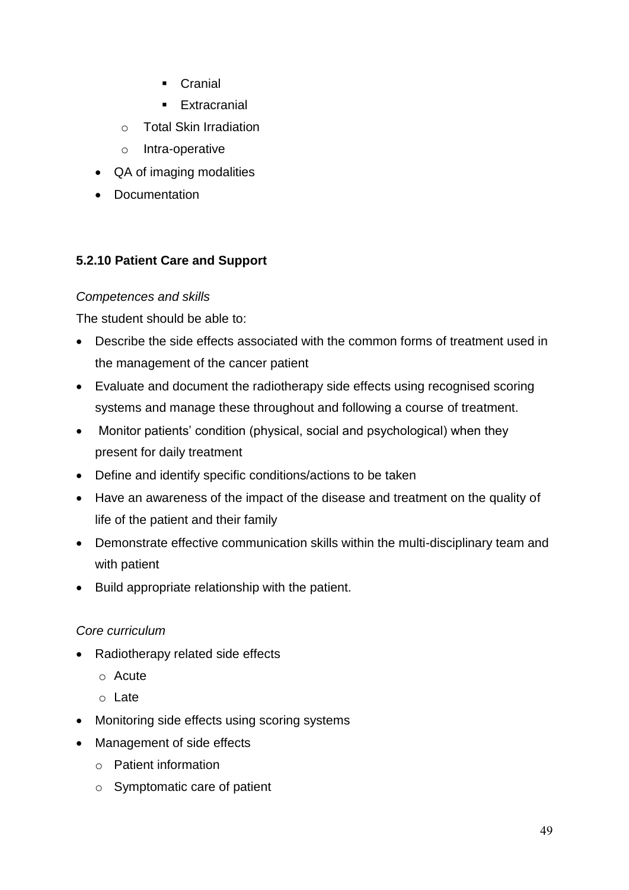- **Cranial**
- **Extracranial**
- o Total Skin Irradiation
- o Intra-operative
- QA of imaging modalities
- Documentation

#### **5.2.10 Patient Care and Support**

#### *Competences and skills*

The student should be able to:

- Describe the side effects associated with the common forms of treatment used in the management of the cancer patient
- Evaluate and document the radiotherapy side effects using recognised scoring systems and manage these throughout and following a course of treatment.
- Monitor patients' condition (physical, social and psychological) when they present for daily treatment
- Define and identify specific conditions/actions to be taken
- Have an awareness of the impact of the disease and treatment on the quality of life of the patient and their family
- Demonstrate effective communication skills within the multi-disciplinary team and with patient
- Build appropriate relationship with the patient.

#### *Core curriculum*

- Radiotherapy related side effects
	- o Acute
	- o Late
- Monitoring side effects using scoring systems
- Management of side effects
	- o Patient information
	- o Symptomatic care of patient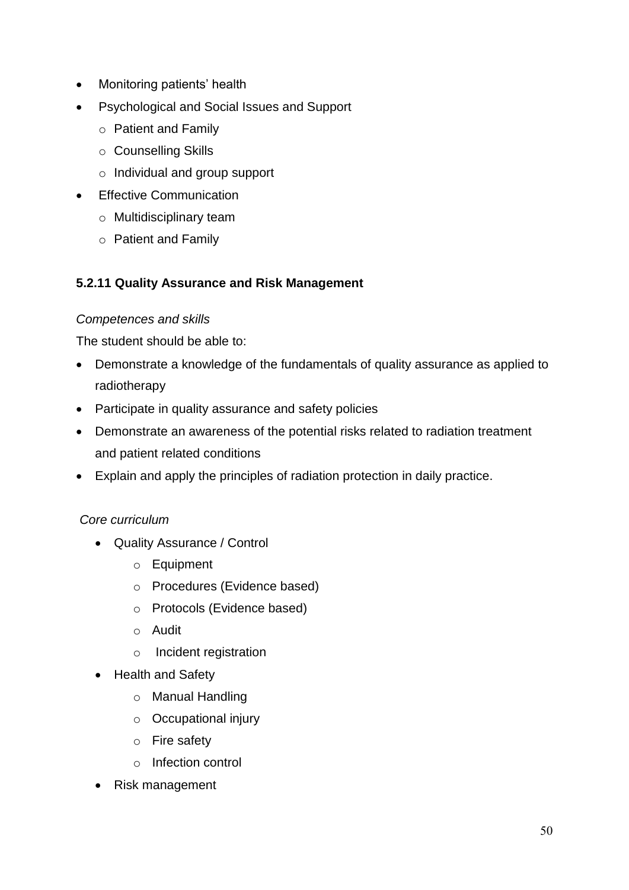- Monitoring patients' health
- Psychological and Social Issues and Support
	- o Patient and Family
	- o Counselling Skills
	- o Individual and group support
- **•** Effective Communication
	- o Multidisciplinary team
	- o Patient and Family

#### **5.2.11 Quality Assurance and Risk Management**

#### *Competences and skills*

The student should be able to:

- Demonstrate a knowledge of the fundamentals of quality assurance as applied to radiotherapy
- Participate in quality assurance and safety policies
- Demonstrate an awareness of the potential risks related to radiation treatment and patient related conditions
- Explain and apply the principles of radiation protection in daily practice.

#### *Core curriculum*

- Quality Assurance / Control
	- o Equipment
	- o Procedures (Evidence based)
	- o Protocols (Evidence based)
	- o Audit
	- o Incident registration
- Health and Safety
	- o Manual Handling
	- o Occupational injury
	- o Fire safety
	- o Infection control
- Risk management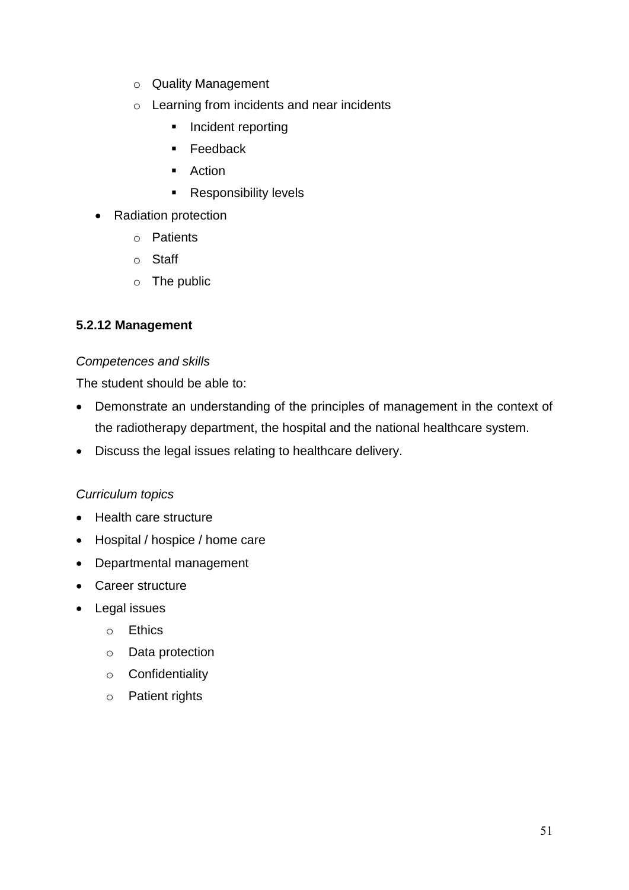- o Quality Management
- o Learning from incidents and near incidents
	- **Incident reporting**
	- **Feedback**
	- **Action**
	- **Responsibility levels**
- Radiation protection
	- o Patients
	- o Staff
	- o The public

#### **5.2.12 Management**

#### *Competences and skills*

The student should be able to:

- Demonstrate an understanding of the principles of management in the context of the radiotherapy department, the hospital and the national healthcare system.
- Discuss the legal issues relating to healthcare delivery.

#### *Curriculum topics*

- Health care structure
- Hospital / hospice / home care
- Departmental management
- Career structure
- Legal issues
	- o Ethics
	- o Data protection
	- o Confidentiality
	- o Patient rights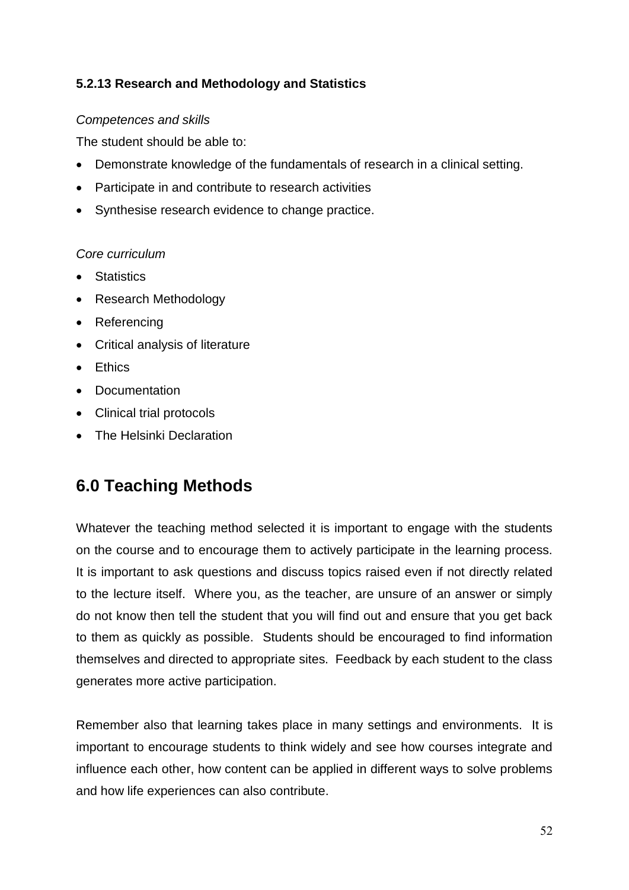### **5.2.13 Research and Methodology and Statistics**

#### *Competences and skills*

The student should be able to:

- Demonstrate knowledge of the fundamentals of research in a clinical setting.
- Participate in and contribute to research activities
- Synthesise research evidence to change practice.

#### *Core curriculum*

- Statistics
- Research Methodology
- Referencing
- Critical analysis of literature
- **•** Fthics
- Documentation
- Clinical trial protocols
- The Helsinki Declaration

# **6.0 Teaching Methods**

Whatever the teaching method selected it is important to engage with the students on the course and to encourage them to actively participate in the learning process. It is important to ask questions and discuss topics raised even if not directly related to the lecture itself. Where you, as the teacher, are unsure of an answer or simply do not know then tell the student that you will find out and ensure that you get back to them as quickly as possible. Students should be encouraged to find information themselves and directed to appropriate sites. Feedback by each student to the class generates more active participation.

Remember also that learning takes place in many settings and environments. It is important to encourage students to think widely and see how courses integrate and influence each other, how content can be applied in different ways to solve problems and how life experiences can also contribute.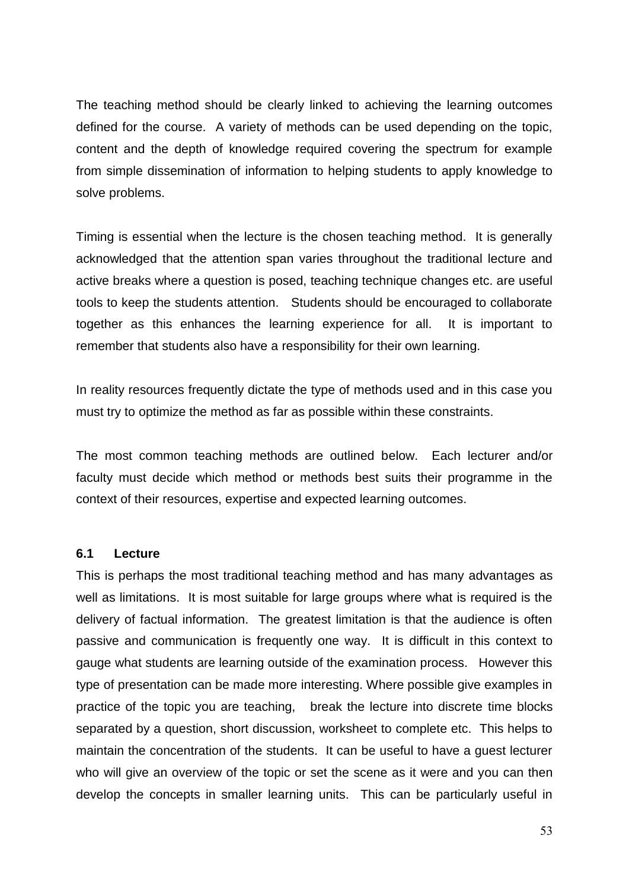The teaching method should be clearly linked to achieving the learning outcomes defined for the course. A variety of methods can be used depending on the topic, content and the depth of knowledge required covering the spectrum for example from simple dissemination of information to helping students to apply knowledge to solve problems.

Timing is essential when the lecture is the chosen teaching method. It is generally acknowledged that the attention span varies throughout the traditional lecture and active breaks where a question is posed, teaching technique changes etc. are useful tools to keep the students attention. Students should be encouraged to collaborate together as this enhances the learning experience for all. It is important to remember that students also have a responsibility for their own learning.

In reality resources frequently dictate the type of methods used and in this case you must try to optimize the method as far as possible within these constraints.

The most common teaching methods are outlined below. Each lecturer and/or faculty must decide which method or methods best suits their programme in the context of their resources, expertise and expected learning outcomes.

#### **6.1 Lecture**

This is perhaps the most traditional teaching method and has many advantages as well as limitations. It is most suitable for large groups where what is required is the delivery of factual information. The greatest limitation is that the audience is often passive and communication is frequently one way. It is difficult in this context to gauge what students are learning outside of the examination process. However this type of presentation can be made more interesting. Where possible give examples in practice of the topic you are teaching, break the lecture into discrete time blocks separated by a question, short discussion, worksheet to complete etc. This helps to maintain the concentration of the students. It can be useful to have a guest lecturer who will give an overview of the topic or set the scene as it were and you can then develop the concepts in smaller learning units. This can be particularly useful in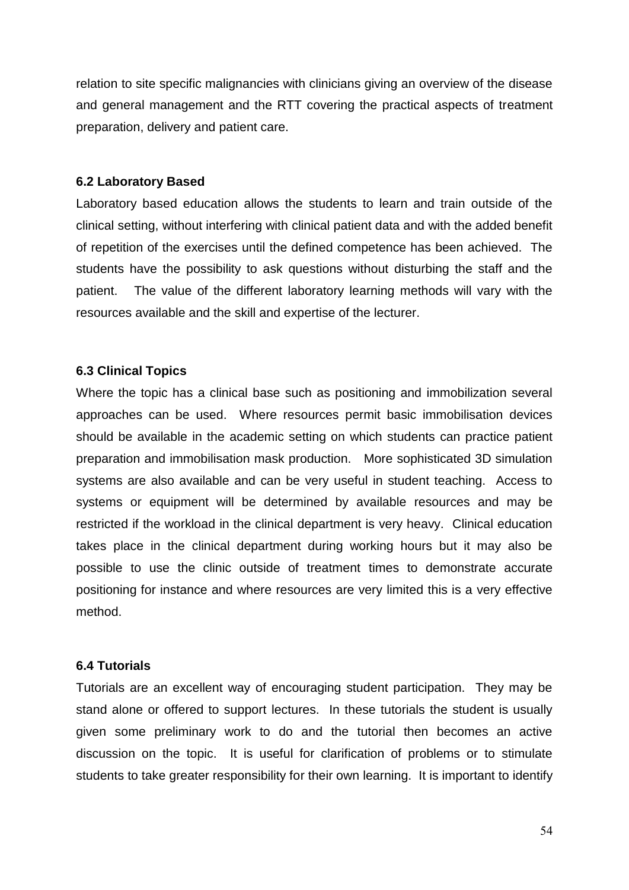relation to site specific malignancies with clinicians giving an overview of the disease and general management and the RTT covering the practical aspects of treatment preparation, delivery and patient care.

#### **6.2 Laboratory Based**

Laboratory based education allows the students to learn and train outside of the clinical setting, without interfering with clinical patient data and with the added benefit of repetition of the exercises until the defined competence has been achieved. The students have the possibility to ask questions without disturbing the staff and the patient. The value of the different laboratory learning methods will vary with the resources available and the skill and expertise of the lecturer.

#### **6.3 Clinical Topics**

Where the topic has a clinical base such as positioning and immobilization several approaches can be used. Where resources permit basic immobilisation devices should be available in the academic setting on which students can practice patient preparation and immobilisation mask production. More sophisticated 3D simulation systems are also available and can be very useful in student teaching. Access to systems or equipment will be determined by available resources and may be restricted if the workload in the clinical department is very heavy. Clinical education takes place in the clinical department during working hours but it may also be possible to use the clinic outside of treatment times to demonstrate accurate positioning for instance and where resources are very limited this is a very effective method.

#### **6.4 Tutorials**

Tutorials are an excellent way of encouraging student participation. They may be stand alone or offered to support lectures. In these tutorials the student is usually given some preliminary work to do and the tutorial then becomes an active discussion on the topic. It is useful for clarification of problems or to stimulate students to take greater responsibility for their own learning. It is important to identify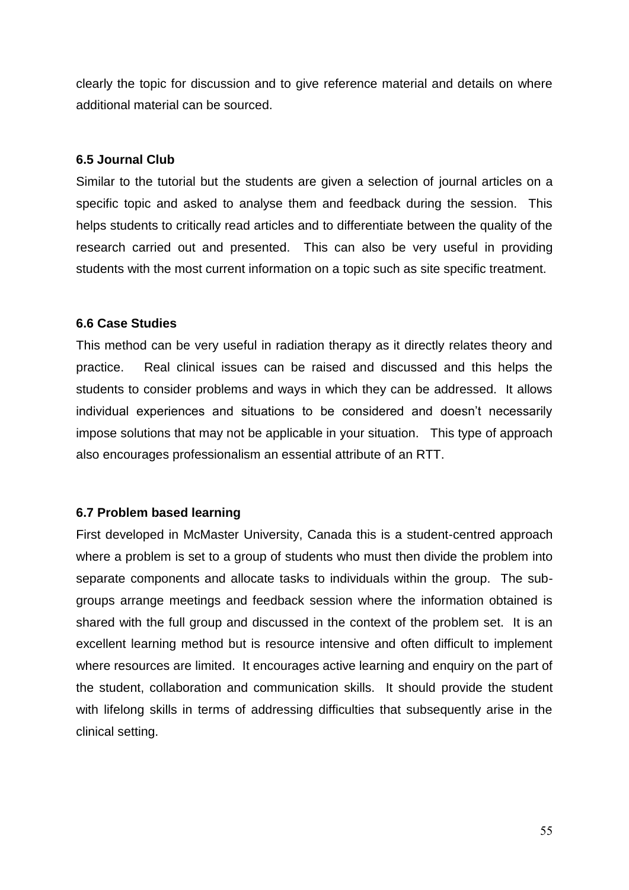clearly the topic for discussion and to give reference material and details on where additional material can be sourced.

#### **6.5 Journal Club**

Similar to the tutorial but the students are given a selection of journal articles on a specific topic and asked to analyse them and feedback during the session. This helps students to critically read articles and to differentiate between the quality of the research carried out and presented. This can also be very useful in providing students with the most current information on a topic such as site specific treatment.

#### **6.6 Case Studies**

This method can be very useful in radiation therapy as it directly relates theory and practice. Real clinical issues can be raised and discussed and this helps the students to consider problems and ways in which they can be addressed. It allows individual experiences and situations to be considered and doesn't necessarily impose solutions that may not be applicable in your situation. This type of approach also encourages professionalism an essential attribute of an RTT.

#### **6.7 Problem based learning**

First developed in McMaster University, Canada this is a student-centred approach where a problem is set to a group of students who must then divide the problem into separate components and allocate tasks to individuals within the group. The subgroups arrange meetings and feedback session where the information obtained is shared with the full group and discussed in the context of the problem set. It is an excellent learning method but is resource intensive and often difficult to implement where resources are limited. It encourages active learning and enquiry on the part of the student, collaboration and communication skills. It should provide the student with lifelong skills in terms of addressing difficulties that subsequently arise in the clinical setting.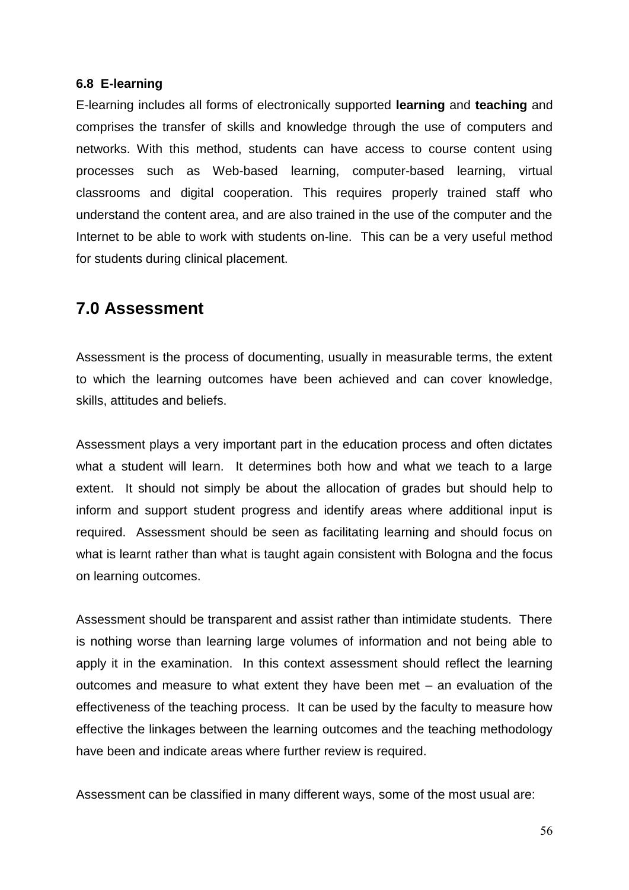#### **6.8 E-learning**

E-learning includes all forms of electronically supported **[learning](http://en.wikipedia.org/wiki/Learning)** and **[teaching](http://en.wikipedia.org/wiki/Teaching)** and comprises the transfer of skills and knowledge through the use of computers and networks. With this method, students can have access to course content using processes such as Web-based learning, computer-based learning, virtual classrooms and digital cooperation. This requires properly trained staff who understand the content area, and are also trained in the use of the computer and the Internet to be able to work with students on-line. This can be a very useful method for students during clinical placement.

## **7.0 Assessment**

Assessment is the process of documenting, usually in measurable terms, the extent to which the learning outcomes have been achieved and can cover knowledge, skills, attitudes and beliefs.

Assessment plays a very important part in the education process and often dictates what a student will learn. It determines both how and what we teach to a large extent. It should not simply be about the allocation of grades but should help to inform and support student progress and identify areas where additional input is required. Assessment should be seen as facilitating learning and should focus on what is learnt rather than what is taught again consistent with Bologna and the focus on learning outcomes.

Assessment should be transparent and assist rather than intimidate students. There is nothing worse than learning large volumes of information and not being able to apply it in the examination. In this context assessment should reflect the learning outcomes and measure to what extent they have been met – an evaluation of the effectiveness of the teaching process. It can be used by the faculty to measure how effective the linkages between the learning outcomes and the teaching methodology have been and indicate areas where further review is required.

Assessment can be classified in many different ways, some of the most usual are: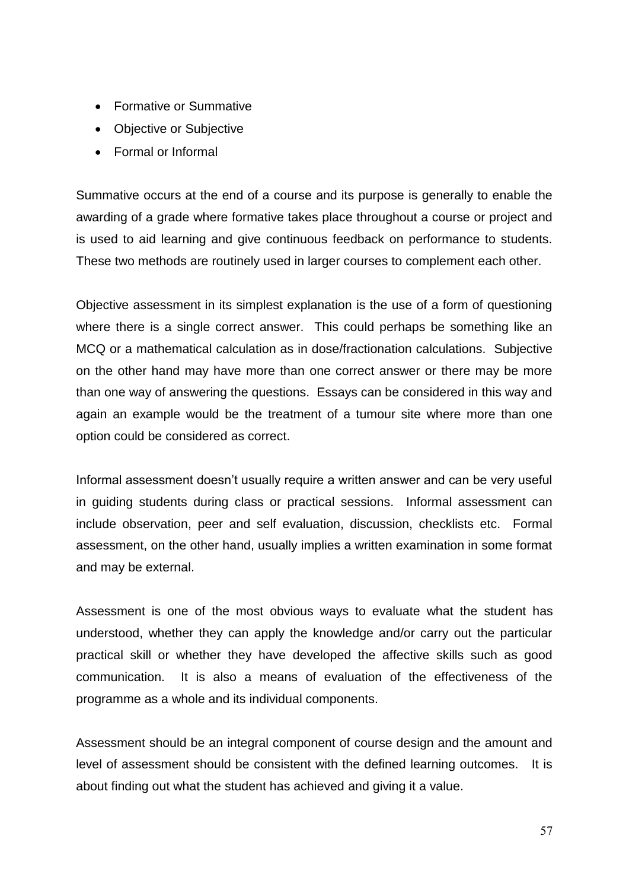- Formative or Summative
- Objective or Subjective
- Formal or Informal

Summative occurs at the end of a course and its purpose is generally to enable the awarding of a grade where formative takes place throughout a course or project and is used to aid learning and give continuous feedback on performance to students. These two methods are routinely used in larger courses to complement each other.

Objective assessment in its simplest explanation is the use of a form of questioning where there is a single correct answer. This could perhaps be something like an MCQ or a mathematical calculation as in dose/fractionation calculations. Subjective on the other hand may have more than one correct answer or there may be more than one way of answering the questions. Essays can be considered in this way and again an example would be the treatment of a tumour site where more than one option could be considered as correct.

Informal assessment doesn't usually require a written answer and can be very useful in guiding students during class or practical sessions. Informal assessment can include observation, peer and self evaluation, discussion, checklists etc. Formal assessment, on the other hand, usually implies a written examination in some format and may be external.

Assessment is one of the most obvious ways to evaluate what the student has understood, whether they can apply the knowledge and/or carry out the particular practical skill or whether they have developed the affective skills such as good communication. It is also a means of evaluation of the effectiveness of the programme as a whole and its individual components.

Assessment should be an integral component of course design and the amount and level of assessment should be consistent with the defined learning outcomes. It is about finding out what the student has achieved and giving it a value.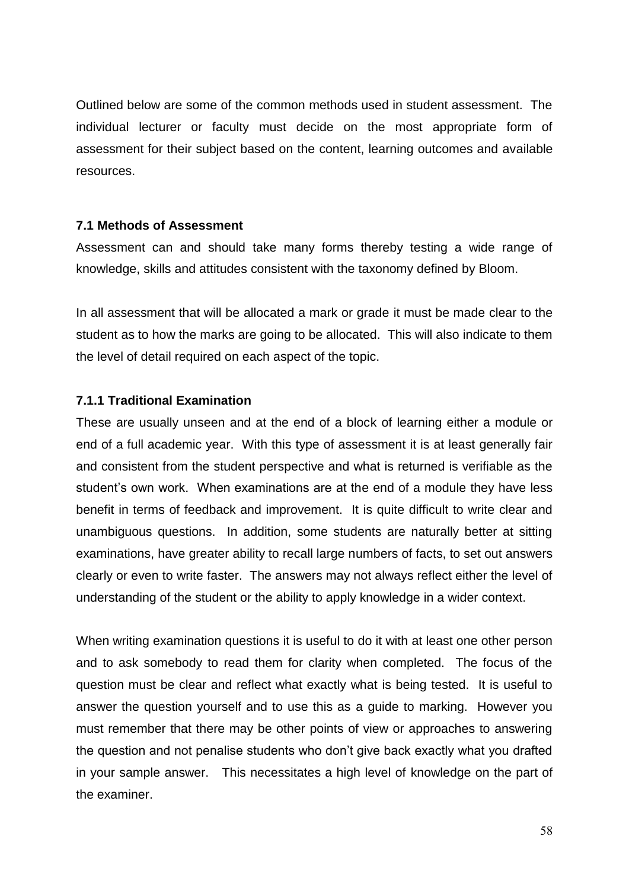Outlined below are some of the common methods used in student assessment. The individual lecturer or faculty must decide on the most appropriate form of assessment for their subject based on the content, learning outcomes and available resources.

#### **7.1 Methods of Assessment**

Assessment can and should take many forms thereby testing a wide range of knowledge, skills and attitudes consistent with the taxonomy defined by Bloom.

In all assessment that will be allocated a mark or grade it must be made clear to the student as to how the marks are going to be allocated. This will also indicate to them the level of detail required on each aspect of the topic.

#### **7.1.1 Traditional Examination**

These are usually unseen and at the end of a block of learning either a module or end of a full academic year. With this type of assessment it is at least generally fair and consistent from the student perspective and what is returned is verifiable as the student's own work. When examinations are at the end of a module they have less benefit in terms of feedback and improvement. It is quite difficult to write clear and unambiguous questions. In addition, some students are naturally better at sitting examinations, have greater ability to recall large numbers of facts, to set out answers clearly or even to write faster. The answers may not always reflect either the level of understanding of the student or the ability to apply knowledge in a wider context.

When writing examination questions it is useful to do it with at least one other person and to ask somebody to read them for clarity when completed. The focus of the question must be clear and reflect what exactly what is being tested. It is useful to answer the question yourself and to use this as a guide to marking. However you must remember that there may be other points of view or approaches to answering the question and not penalise students who don't give back exactly what you drafted in your sample answer. This necessitates a high level of knowledge on the part of the examiner.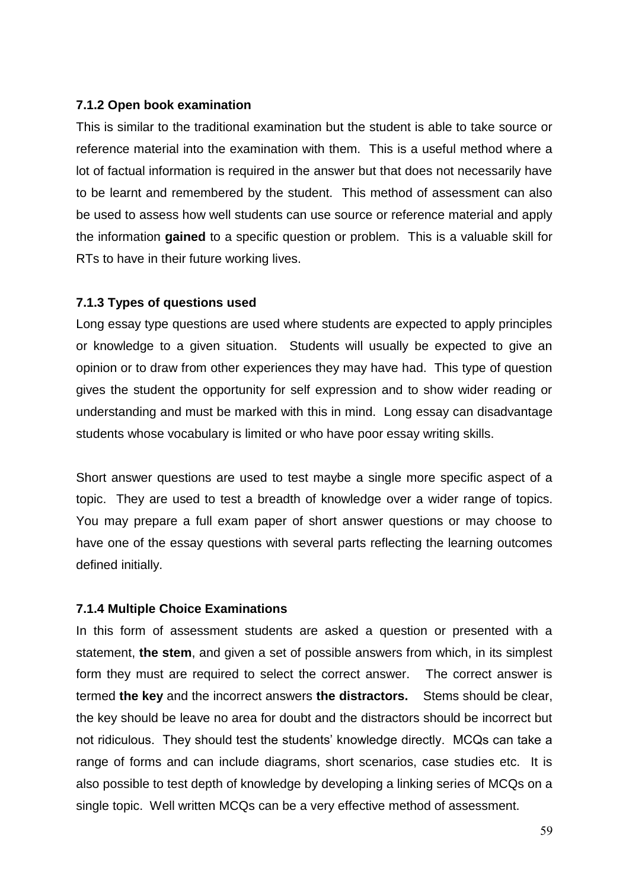#### **7.1.2 Open book examination**

This is similar to the traditional examination but the student is able to take source or reference material into the examination with them. This is a useful method where a lot of factual information is required in the answer but that does not necessarily have to be learnt and remembered by the student. This method of assessment can also be used to assess how well students can use source or reference material and apply the information **gained** to a specific question or problem. This is a valuable skill for RTs to have in their future working lives.

#### **7.1.3 Types of questions used**

Long essay type questions are used where students are expected to apply principles or knowledge to a given situation. Students will usually be expected to give an opinion or to draw from other experiences they may have had. This type of question gives the student the opportunity for self expression and to show wider reading or understanding and must be marked with this in mind. Long essay can disadvantage students whose vocabulary is limited or who have poor essay writing skills.

Short answer questions are used to test maybe a single more specific aspect of a topic. They are used to test a breadth of knowledge over a wider range of topics. You may prepare a full exam paper of short answer questions or may choose to have one of the essay questions with several parts reflecting the learning outcomes defined initially.

#### **7.1.4 Multiple Choice Examinations**

In this form of assessment students are asked a question or presented with a statement, **the stem**, and given a set of possible answers from which, in its simplest form they must are required to select the correct answer. The correct answer is termed **the key** and the incorrect answers **the distractors.** Stems should be clear, the key should be leave no area for doubt and the distractors should be incorrect but not ridiculous. They should test the students' knowledge directly. MCQs can take a range of forms and can include diagrams, short scenarios, case studies etc. It is also possible to test depth of knowledge by developing a linking series of MCQs on a single topic. Well written MCQs can be a very effective method of assessment.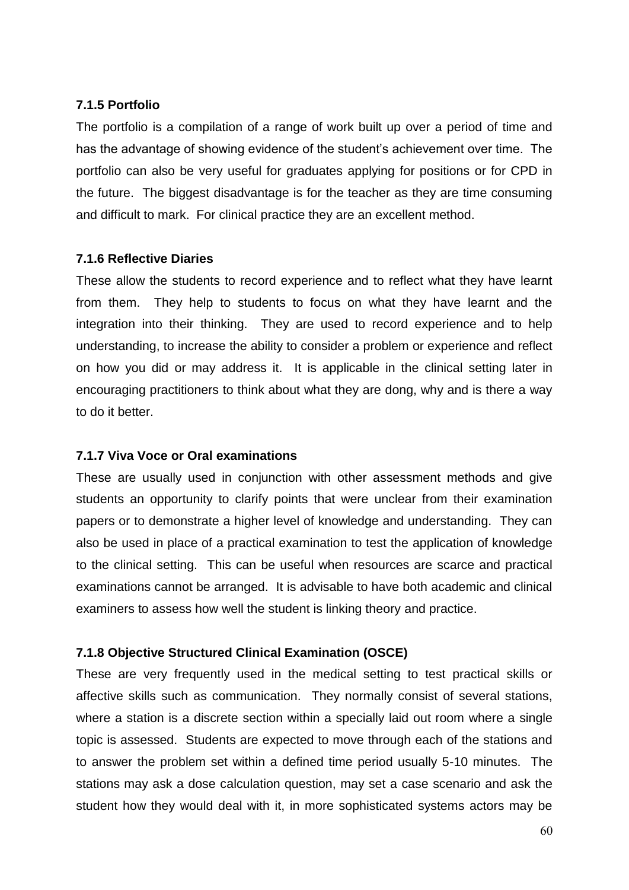#### **7.1.5 Portfolio**

The portfolio is a compilation of a range of work built up over a period of time and has the advantage of showing evidence of the student's achievement over time. The portfolio can also be very useful for graduates applying for positions or for CPD in the future. The biggest disadvantage is for the teacher as they are time consuming and difficult to mark. For clinical practice they are an excellent method.

#### **7.1.6 Reflective Diaries**

These allow the students to record experience and to reflect what they have learnt from them. They help to students to focus on what they have learnt and the integration into their thinking. They are used to record experience and to help understanding, to increase the ability to consider a problem or experience and reflect on how you did or may address it. It is applicable in the clinical setting later in encouraging practitioners to think about what they are dong, why and is there a way to do it better.

#### **7.1.7 Viva Voce or Oral examinations**

These are usually used in conjunction with other assessment methods and give students an opportunity to clarify points that were unclear from their examination papers or to demonstrate a higher level of knowledge and understanding. They can also be used in place of a practical examination to test the application of knowledge to the clinical setting. This can be useful when resources are scarce and practical examinations cannot be arranged. It is advisable to have both academic and clinical examiners to assess how well the student is linking theory and practice.

#### **7.1.8 Objective Structured Clinical Examination (OSCE)**

These are very frequently used in the medical setting to test practical skills or affective skills such as communication. They normally consist of several stations, where a station is a discrete section within a specially laid out room where a single topic is assessed. Students are expected to move through each of the stations and to answer the problem set within a defined time period usually 5-10 minutes. The stations may ask a dose calculation question, may set a case scenario and ask the student how they would deal with it, in more sophisticated systems actors may be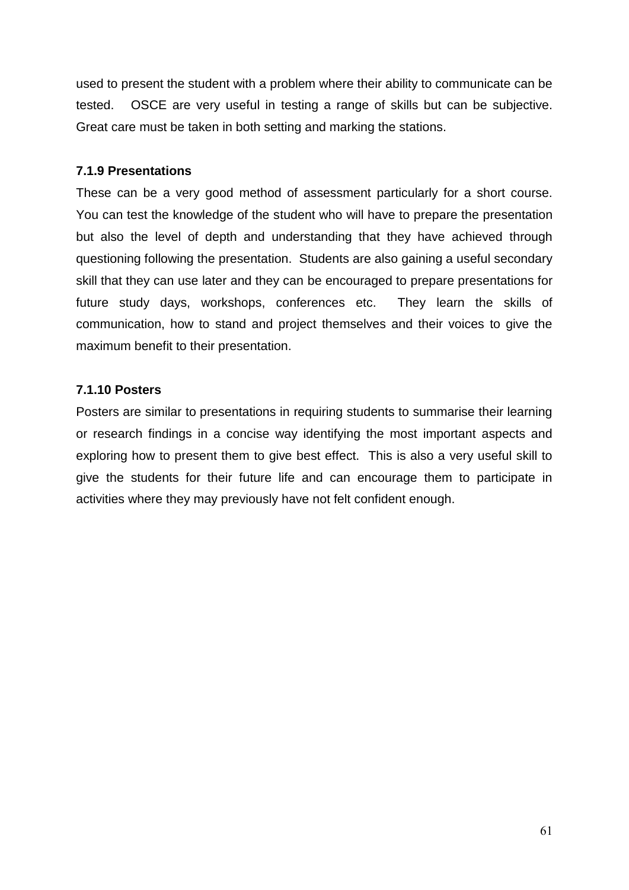used to present the student with a problem where their ability to communicate can be tested. OSCE are very useful in testing a range of skills but can be subjective. Great care must be taken in both setting and marking the stations.

#### **7.1.9 Presentations**

These can be a very good method of assessment particularly for a short course. You can test the knowledge of the student who will have to prepare the presentation but also the level of depth and understanding that they have achieved through questioning following the presentation. Students are also gaining a useful secondary skill that they can use later and they can be encouraged to prepare presentations for future study days, workshops, conferences etc. They learn the skills of communication, how to stand and project themselves and their voices to give the maximum benefit to their presentation.

#### **7.1.10 Posters**

Posters are similar to presentations in requiring students to summarise their learning or research findings in a concise way identifying the most important aspects and exploring how to present them to give best effect. This is also a very useful skill to give the students for their future life and can encourage them to participate in activities where they may previously have not felt confident enough.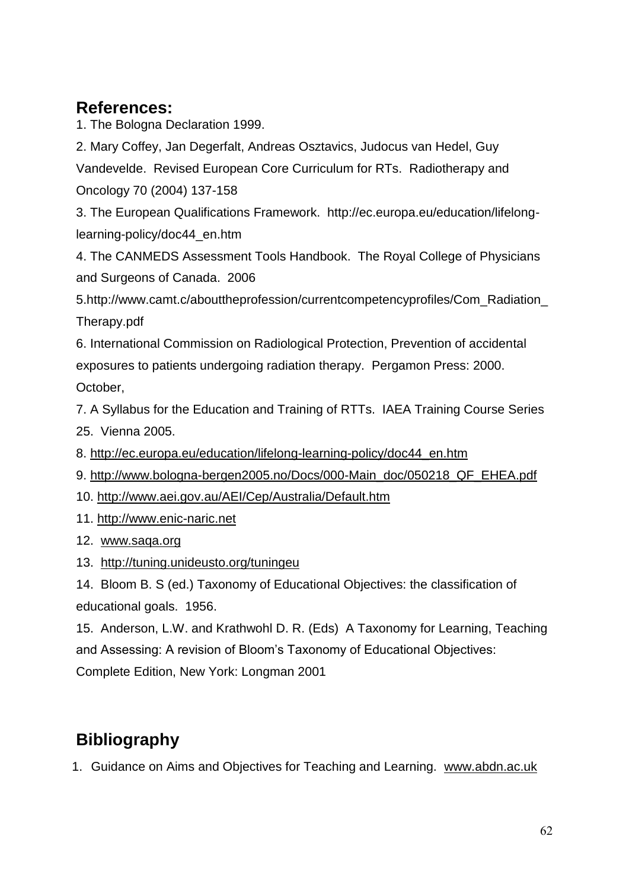# **References:**

1. The Bologna Declaration 1999.

2. Mary Coffey, Jan Degerfalt, Andreas Osztavics, Judocus van Hedel, Guy Vandevelde. Revised European Core Curriculum for RTs. Radiotherapy and Oncology 70 (2004) 137-158

3. The European Qualifications Framework. http://ec.europa.eu/education/lifelonglearning-policy/doc44\_en.htm

4. The CANMEDS Assessment Tools Handbook. The Royal College of Physicians and Surgeons of Canada. 2006

5.http://www.camt.c/abouttheprofession/currentcompetencyprofiles/Com\_Radiation\_ Therapy.pdf

6. International Commission on Radiological Protection, Prevention of accidental exposures to patients undergoing radiation therapy. Pergamon Press: 2000. October,

7. A Syllabus for the Education and Training of RTTs. IAEA Training Course Series 25. Vienna 2005.

- 8. [http://ec.europa.eu/education/lifelong-learning-policy/doc44\\_en.htm](http://ec.europa.eu/education/lifelong-learning-policy/doc44_en.htm)
- 9. [http://www.bologna-bergen2005.no/Docs/000-Main\\_doc/050218\\_QF\\_EHEA.pdf](http://www.bologna-bergen2005.no/Docs/000-Main_doc/050218_QF_EHEA.pdf)
- 10.<http://www.aei.gov.au/AEI/Cep/Australia/Default.htm>
- 11. [http://www.enic-naric.net](http://www.enic-naric.net/)
- 12. [www.saqa.org](http://www.saqa.org/)
- 13. <http://tuning.unideusto.org/tuningeu>

14. Bloom B. S (ed.) Taxonomy of Educational Objectives: the classification of educational goals. 1956.

15. Anderson, L.W. and Krathwohl D. R. (Eds) A Taxonomy for Learning, Teaching and Assessing: A revision of Bloom's Taxonomy of Educational Objectives: Complete Edition, New York: Longman 2001

# **Bibliography**

1. Guidance on Aims and Objectives for Teaching and Learning. [www.abdn.ac.uk](http://www.abdn.ac.uk/)